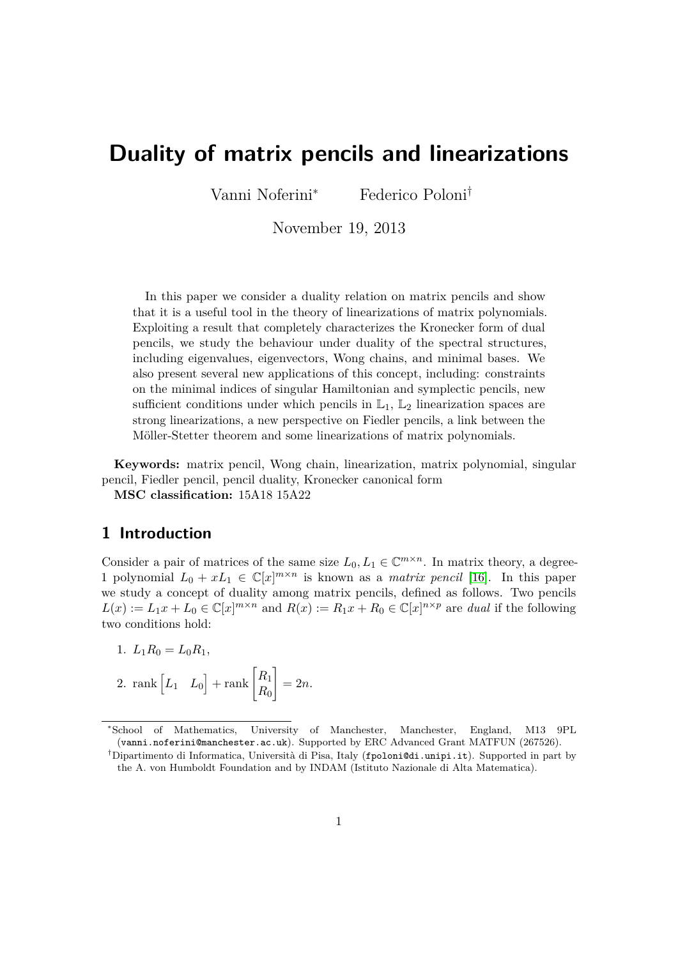# **Duality of matrix pencils and linearizations**

Vanni Noferini*<sup>∗</sup>* Federico Poloni*†*

November 19, 2013

In this paper we consider a duality relation on matrix pencils and show that it is a useful tool in the theory of linearizations of matrix polynomials. Exploiting a result that completely characterizes the Kronecker form of dual pencils, we study the behaviour under duality of the spectral structures, including eigenvalues, eigenvectors, Wong chains, and minimal bases. We also present several new applications of this concept, including: constraints on the minimal indices of singular Hamiltonian and symplectic pencils, new sufficient conditions under which pencils in  $\mathbb{L}_1$ ,  $\mathbb{L}_2$  linearization spaces are strong linearizations, a new perspective on Fiedler pencils, a link between the Möller-Stetter theorem and some linearizations of matrix polynomials.

**Keywords:** matrix pencil, Wong chain, linearization, matrix polynomial, singular pencil, Fiedler pencil, pencil duality, Kronecker canonical form

**MSC classification:** 15A18 15A22

# **1 Introduction**

Consider a pair of matrices of the same size  $L_0, L_1 \in \mathbb{C}^{m \times n}$ . In matrix theory, a degree-1 polynomial  $L_0 + xL_1 \in \mathbb{C}[x]^{m \times n}$  is known as a *matrix pencil* [\[16\]](#page-25-0). In this paper we study a concept of duality among matrix pencils, defined as follows. Two pencils  $L(x) := L_1x + L_0 \in \mathbb{C}[x]^{m \times n}$  and  $R(x) := R_1x + R_0 \in \mathbb{C}[x]^{n \times p}$  are dual if the following two conditions hold:

$$
1. L_1 R_0 = L_0 R_1,
$$

2. rank  $\begin{bmatrix} L_1 & L_0 \end{bmatrix}$  + rank  $\begin{bmatrix} R_1 \\ R_2 \end{bmatrix}$ *R*<sup>0</sup> 1  $= 2n$ .

*<sup>∗</sup>*School of Mathematics, University of Manchester, Manchester, England, M13 9PL (vanni.noferini@manchester.ac.uk). Supported by ERC Advanced Grant MATFUN (267526).

*<sup>†</sup>*Dipartimento di Informatica, Università di Pisa, Italy (fpoloni@di.unipi.it). Supported in part by the A. von Humboldt Foundation and by INDAM (Istituto Nazionale di Alta Matematica).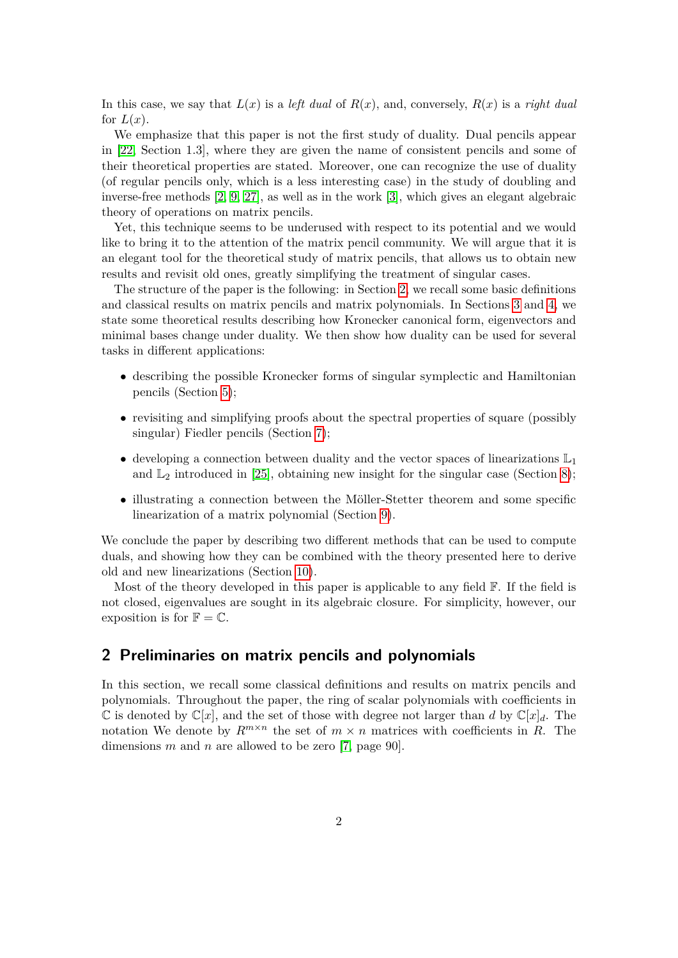In this case, we say that  $L(x)$  is a *left dual* of  $R(x)$ , and, conversely,  $R(x)$  is a *right dual* for  $L(x)$ .

We emphasize that this paper is not the first study of duality. Dual pencils appear in [\[22,](#page-26-0) Section 1.3], where they are given the name of consistent pencils and some of their theoretical properties are stated. Moreover, one can recognize the use of duality (of regular pencils only, which is a less interesting case) in the study of doubling and inverse-free methods [\[2,](#page-24-0) [9,](#page-25-1) [27\]](#page-26-1), as well as in the work [\[3\]](#page-24-1), which gives an elegant algebraic theory of operations on matrix pencils.

Yet, this technique seems to be underused with respect to its potential and we would like to bring it to the attention of the matrix pencil community. We will argue that it is an elegant tool for the theoretical study of matrix pencils, that allows us to obtain new results and revisit old ones, greatly simplifying the treatment of singular cases.

The structure of the paper is the following: in Section [2,](#page-1-0) we recall some basic definitions and classical results on matrix pencils and matrix polynomials. In Sections [3](#page-4-0) and [4,](#page-7-0) we state some theoretical results describing how Kronecker canonical form, eigenvectors and minimal bases change under duality. We then show how duality can be used for several tasks in different applications:

- describing the possible Kronecker forms of singular symplectic and Hamiltonian pencils (Section [5\)](#page-10-0);
- revisiting and simplifying proofs about the spectral properties of square (possibly singular) Fiedler pencils (Section [7\)](#page-15-0);
- developing a connection between duality and the vector spaces of linearizations  $\mathbb{L}_1$ and  $\mathbb{L}_2$  introduced in [\[25\]](#page-26-2), obtaining new insight for the singular case (Section [8\)](#page-19-0);
- illustrating a connection between the Möller-Stetter theorem and some specific linearization of a matrix polynomial (Section [9\)](#page-20-0).

We conclude the paper by describing two different methods that can be used to compute duals, and showing how they can be combined with the theory presented here to derive old and new linearizations (Section [10\)](#page-22-0).

Most of the theory developed in this paper is applicable to any field  $\mathbb{F}$ . If the field is not closed, eigenvalues are sought in its algebraic closure. For simplicity, however, our exposition is for  $\mathbb{F} = \mathbb{C}$ .

# <span id="page-1-0"></span>**2 Preliminaries on matrix pencils and polynomials**

In this section, we recall some classical definitions and results on matrix pencils and polynomials. Throughout the paper, the ring of scalar polynomials with coefficients in  $\mathbb{C}$  is denoted by  $\mathbb{C}[x]$ , and the set of those with degree not larger than *d* by  $\mathbb{C}[x]_d$ . The notation We denote by  $R^{m \times n}$  the set of  $m \times n$  matrices with coefficients in *R*. The dimensions *m* and *n* are allowed to be zero [\[7,](#page-24-2) page 90].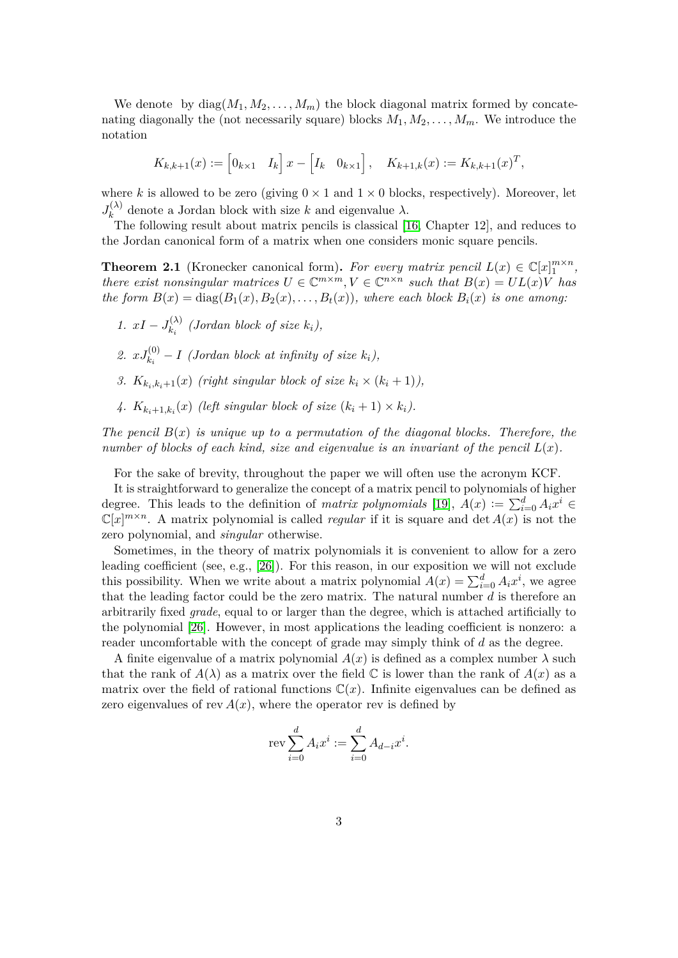We denote by  $diag(M_1, M_2, \ldots, M_m)$  the block diagonal matrix formed by concatenating diagonally the (not necessarily square) blocks  $M_1, M_2, \ldots, M_m$ . We introduce the notation

$$
K_{k,k+1}(x) := [0_{k\times 1} \quad I_k] \quad x - [I_k \quad 0_{k\times 1}], \quad K_{k+1,k}(x) := K_{k,k+1}(x)^T,
$$

where *k* is allowed to be zero (giving  $0 \times 1$  and  $1 \times 0$  blocks, respectively). Moreover, let  $J_k^{(\lambda)}$  $\lambda_k^{(\lambda)}$  denote a Jordan block with size *k* and eigenvalue  $\lambda$ .

The following result about matrix pencils is classical [\[16,](#page-25-0) Chapter 12], and reduces to the Jordan canonical form of a matrix when one considers monic square pencils.

<span id="page-2-0"></span>**Theorem 2.1** (Kronecker canonical form). *For every matrix pencil*  $L(x) \in \mathbb{C}[x]_1^{m \times n}$ , *there exist nonsingular matrices*  $U \in \mathbb{C}^{m \times m}, V \in \mathbb{C}^{n \times n}$  such that  $B(x) = UL(x)V$  has *the form*  $B(x) = \text{diag}(B_1(x), B_2(x), \ldots, B_t(x))$ *, where each block*  $B_i(x)$  *is one among:* 

- *1.*  $xI J_{k_1}^{(\lambda)}$  $\binom{N}{k_i}$  (Jordan block of size  $k_i$ ),
- 2.  $xJ_{k_i}^{(0)} I$  (Jordan block at infinity of size  $k_i$ ),
- *3.*  $K_{k_i,k_i+1}(x)$  (right singular block of size  $k_i \times (k_i+1)$ ),
- 4.  $K_{k_i+1,k_i}(x)$  (left singular block of size  $(k_i+1) \times k_i$ ).

*The pencil*  $B(x)$  *is unique up to a permutation of the diagonal blocks. Therefore, the number of blocks of each kind, size and eigenvalue is an invariant of the pencil*  $L(x)$ .

For the sake of brevity, throughout the paper we will often use the acronym KCF.

It is straightforward to generalize the concept of a matrix pencil to polynomials of higher degree. This leads to the definition of *matrix polynomials* [\[19\]](#page-25-2),  $A(x) := \sum_{i=0}^{d} A_i x^i$  $\mathbb{C}[x]^{m \times n}$ . A matrix polynomial is called *regular* if it is square and det  $A(x)$  is not the zero polynomial, and *singular* otherwise.

Sometimes, in the theory of matrix polynomials it is convenient to allow for a zero leading coefficient (see, e.g., [\[26\]](#page-26-3)). For this reason, in our exposition we will not exclude this possibility. When we write about a matrix polynomial  $A(x) = \sum_{i=0}^{d} A_i x^i$ , we agree that the leading factor could be the zero matrix. The natural number *d* is therefore an arbitrarily fixed *grade*, equal to or larger than the degree, which is attached artificially to the polynomial [\[26\]](#page-26-3). However, in most applications the leading coefficient is nonzero: a reader uncomfortable with the concept of grade may simply think of *d* as the degree.

A finite eigenvalue of a matrix polynomial  $A(x)$  is defined as a complex number  $\lambda$  such that the rank of  $A(\lambda)$  as a matrix over the field  $\mathbb C$  is lower than the rank of  $A(x)$  as a matrix over the field of rational functions  $\mathbb{C}(x)$ . Infinite eigenvalues can be defined as zero eigenvalues of rev  $A(x)$ , where the operator rev is defined by

$$
rev \sum_{i=0}^{d} A_i x^i := \sum_{i=0}^{d} A_{d-i} x^i.
$$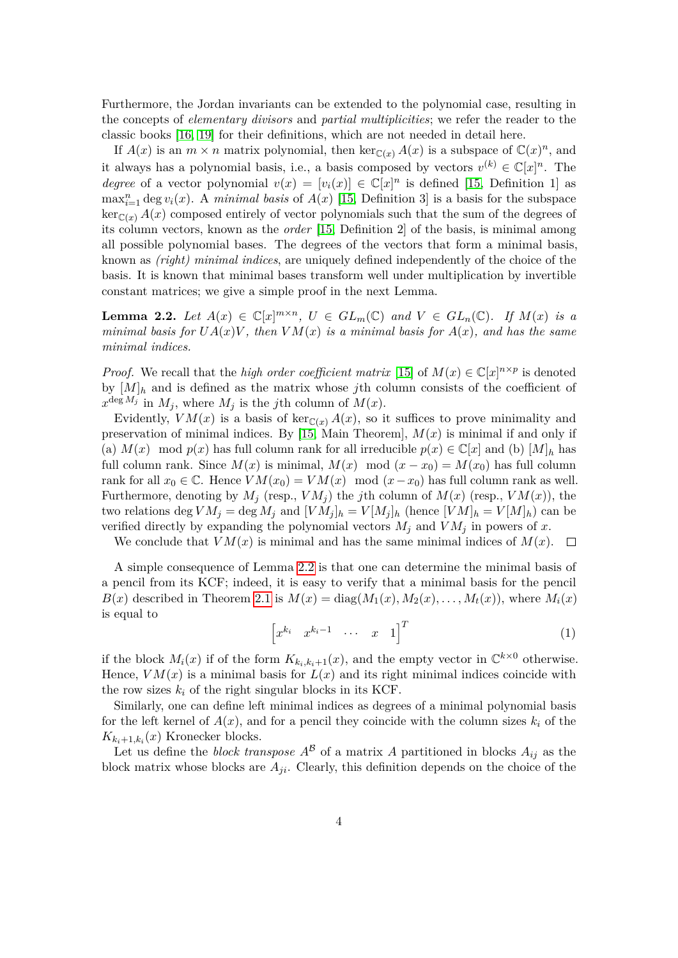Furthermore, the Jordan invariants can be extended to the polynomial case, resulting in the concepts of *elementary divisors* and *partial multiplicities*; we refer the reader to the classic books [\[16,](#page-25-0) [19\]](#page-25-2) for their definitions, which are not needed in detail here.

If  $A(x)$  is an  $m \times n$  matrix polynomial, then ker $\mathbb{C}(x) A(x)$  is a subspace of  $\mathbb{C}(x)^n$ , and it always has a polynomial basis, i.e., a basis composed by vectors  $v^{(k)} \in \mathbb{C}[x]^n$ . The *degree* of a vector polynomial  $v(x) = [v_i(x)] \in \mathbb{C}[x]^n$  is defined [\[15,](#page-25-3) Definition 1] as  $\max_{i=1}^n \deg v_i(x)$ . A *minimal basis* of  $A(x)$  [\[15,](#page-25-3) Definition 3] is a basis for the subspace  $\ker_{\mathbb{C}(x)} A(x)$  composed entirely of vector polynomials such that the sum of the degrees of its column vectors, known as the *order* [\[15,](#page-25-3) Definition 2] of the basis, is minimal among all possible polynomial bases. The degrees of the vectors that form a minimal basis, known as *(right) minimal indices*, are uniquely defined independently of the choice of the basis. It is known that minimal bases transform well under multiplication by invertible constant matrices; we give a simple proof in the next Lemma.

<span id="page-3-0"></span>**Lemma 2.2.** Let  $A(x) \in \mathbb{C}[x]^{m \times n}$ ,  $U \in GL_m(\mathbb{C})$  and  $V \in GL_n(\mathbb{C})$ . If  $M(x)$  is a *minimal basis for*  $UA(x)V$ *, then*  $VM(x)$  *is a minimal basis for*  $A(x)$ *, and has the same minimal indices.*

*Proof.* We recall that the *high order coefficient matrix* [\[15\]](#page-25-3) of  $M(x) \in \mathbb{C}[x]^{n \times p}$  is denoted by  $[M]_h$  and is defined as the matrix whose *j*th column consists of the coefficient of  $x^{\deg M_j}$  in  $M_j$ , where  $M_j$  is the *j*th column of  $M(x)$ .

Evidently,  $VM(x)$  is a basis of ker<sub>C(*x*)</sub>  $A(x)$ , so it suffices to prove minimality and preservation of minimal indices. By [\[15,](#page-25-3) Main Theorem], *M*(*x*) is minimal if and only if (a)  $M(x) \mod p(x)$  has full column rank for all irreducible  $p(x) \in \mathbb{C}[x]$  and (b)  $[M]_h$  has full column rank. Since  $M(x)$  is minimal,  $M(x) \mod (x-x_0) = M(x_0)$  has full column rank for all  $x_0 \in \mathbb{C}$ . Hence  $VM(x_0) = VM(x) \mod (x-x_0)$  has full column rank as well. Furthermore, denoting by  $M_j$  (resp.,  $VM_j$ ) the *j*th column of  $M(x)$  (resp.,  $VM(x)$ ), the two relations deg  $VM_j = \text{deg } M_j$  and  $[VM_j]_h = V[M_j]_h$  (hence  $[VM]_h = V[M]_h$ ) can be verified directly by expanding the polynomial vectors  $M_j$  and  $VM_j$  in powers of x.

We conclude that  $VM(x)$  is minimal and has the same minimal indices of  $M(x)$ .  $\square$ 

A simple consequence of Lemma [2.2](#page-3-0) is that one can determine the minimal basis of a pencil from its KCF; indeed, it is easy to verify that a minimal basis for the pencil  $B(x)$  described in Theorem [2.1](#page-2-0) is  $M(x) = \text{diag}(M_1(x), M_2(x), \ldots, M_t(x))$ , where  $M_i(x)$ is equal to

<span id="page-3-1"></span>
$$
\begin{bmatrix} x^{k_i} & x^{k_i-1} & \cdots & x & 1 \end{bmatrix}^T
$$
 (1)

if the block  $M_i(x)$  if of the form  $K_{k_i,k_i+1}(x)$ , and the empty vector in  $\mathbb{C}^{k\times 0}$  otherwise. Hence,  $VM(x)$  is a minimal basis for  $L(x)$  and its right minimal indices coincide with the row sizes  $k_i$  of the right singular blocks in its KCF.

Similarly, one can define left minimal indices as degrees of a minimal polynomial basis for the left kernel of  $A(x)$ , and for a pencil they coincide with the column sizes  $k_i$  of the  $K_{k_i+1,k_i}(x)$  Kronecker blocks.

Let us define the *block transpose*  $A^{\mathcal{B}}$  of a matrix A partitioned in blocks  $A_{ij}$  as the block matrix whose blocks are *Aji*. Clearly, this definition depends on the choice of the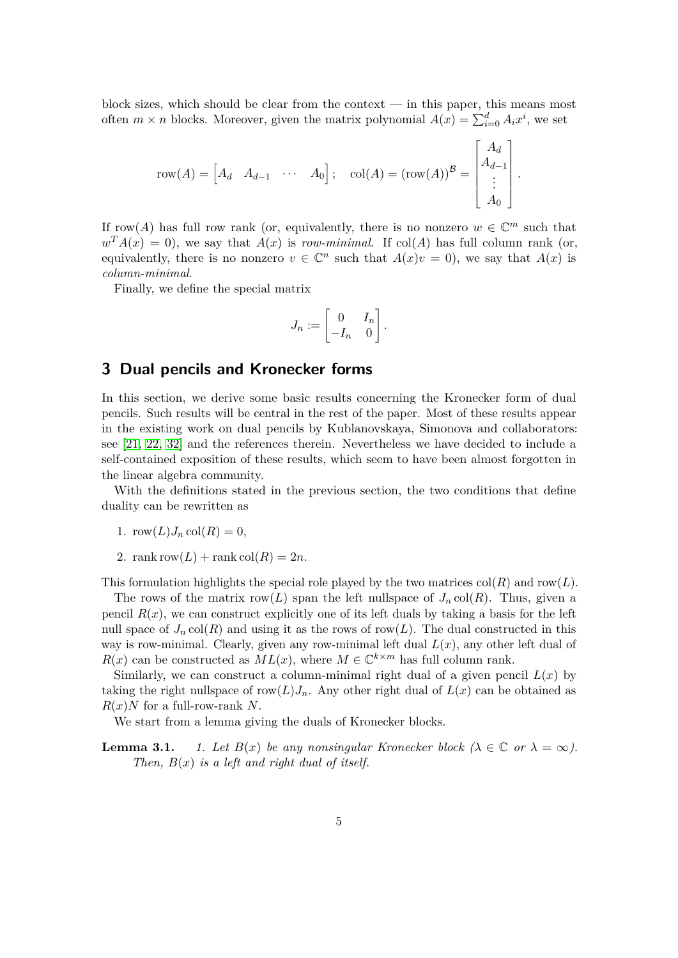block sizes, which should be clear from the context  $-$  in this paper, this means most often  $m \times n$  blocks. Moreover, given the matrix polynomial  $A(x) = \sum_{i=0}^{d} A_i x^i$ , we set

$$
row(A) = \begin{bmatrix} A_d & A_{d-1} & \cdots & A_0 \end{bmatrix}; \quad \text{col}(A) = (row(A))^B = \begin{bmatrix} A_d \\ A_{d-1} \\ \vdots \\ A_0 \end{bmatrix}.
$$

If row(A) has full row rank (or, equivalently, there is no nonzero  $w \in \mathbb{C}^m$  such that  $w<sup>T</sup> A(x) = 0$ , we say that  $A(x)$  is *row-minimal*. If col(*A*) has full column rank (or, equivalently, there is no nonzero  $v \in \mathbb{C}^n$  such that  $A(x)v = 0$ , we say that  $A(x)$  is *column-minimal*.

Finally, we define the special matrix

$$
J_n := \begin{bmatrix} 0 & I_n \\ -I_n & 0 \end{bmatrix}.
$$

# <span id="page-4-0"></span>**3 Dual pencils and Kronecker forms**

In this section, we derive some basic results concerning the Kronecker form of dual pencils. Such results will be central in the rest of the paper. Most of these results appear in the existing work on dual pencils by Kublanovskaya, Simonova and collaborators: see [\[21,](#page-25-4) [22,](#page-26-0) [32\]](#page-26-4) and the references therein. Nevertheless we have decided to include a self-contained exposition of these results, which seem to have been almost forgotten in the linear algebra community.

With the definitions stated in the previous section, the two conditions that define duality can be rewritten as

- 1.  $row(L)J_n col(R) = 0$ ,
- 2. rank row $(L)$  + rank col $(R)$  = 2*n*.

This formulation highlights the special role played by the two matrices  $col(R)$  and  $row(L)$ .

The rows of the matrix row(*L*) span the left nullspace of  $J_n \text{col}(R)$ . Thus, given a pencil  $R(x)$ , we can construct explicitly one of its left duals by taking a basis for the left null space of  $J_n \text{col}(R)$  and using it as the rows of row(*L*). The dual constructed in this way is row-minimal. Clearly, given any row-minimal left dual  $L(x)$ , any other left dual of  $R(x)$  can be constructed as  $ML(x)$ , where  $M \in \mathbb{C}^{k \times m}$  has full column rank.

Similarly, we can construct a column-minimal right dual of a given pencil  $L(x)$  by taking the right nullspace of row $(L)J_n$ . Any other right dual of  $L(x)$  can be obtained as *R*(*x*)*N* for a full-row-rank *N*.

We start from a lemma giving the duals of Kronecker blocks.

<span id="page-4-1"></span>**Lemma 3.1.** *1. Let*  $B(x)$  *be any nonsingular Kronecker block*  $(\lambda \in \mathbb{C}$  *or*  $\lambda = \infty)$ *. Then, B*(*x*) *is a left and right dual of itself.*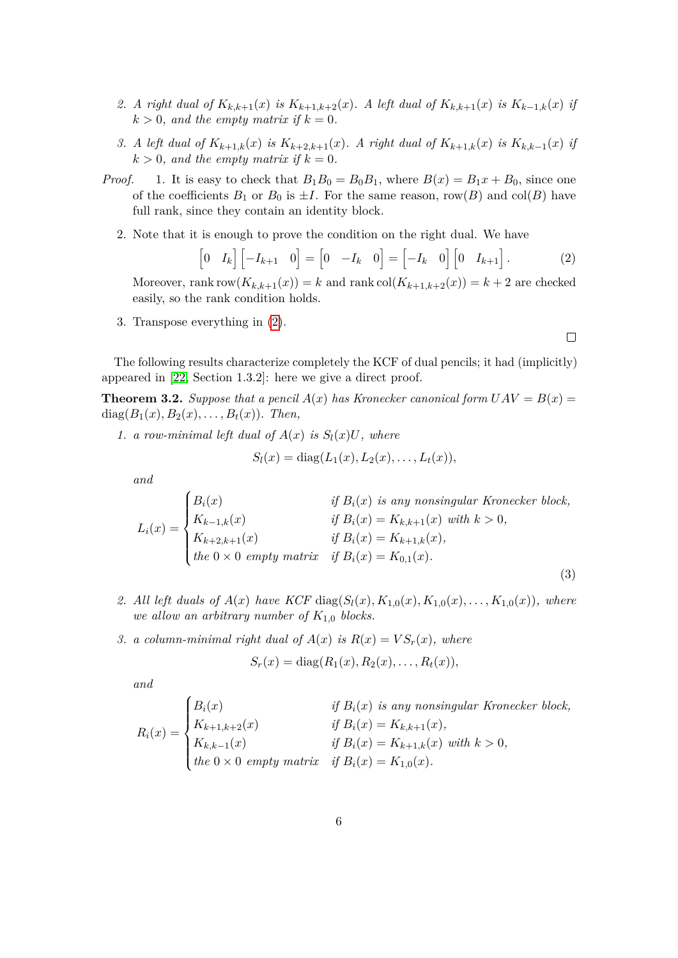- 2. A right dual of  $K_{k,k+1}(x)$  is  $K_{k+1,k+2}(x)$ . A left dual of  $K_{k,k+1}(x)$  is  $K_{k-1,k}(x)$  if  $k > 0$ *, and the empty matrix if*  $k = 0$ *.*
- 3. A left dual of  $K_{k+1,k}(x)$  is  $K_{k+2,k+1}(x)$ . A right dual of  $K_{k+1,k}(x)$  is  $K_{k,k-1}(x)$  if  $k > 0$ *, and the empty matrix if*  $k = 0$ *.*
- *Proof.* 1. It is easy to check that  $B_1B_0 = B_0B_1$ , where  $B(x) = B_1x + B_0$ , since one of the coefficients  $B_1$  or  $B_0$  is  $\pm I$ . For the same reason, row(*B*) and col(*B*) have full rank, since they contain an identity block.
	- 2. Note that it is enough to prove the condition on the right dual. We have

$$
\begin{bmatrix} 0 & I_k \end{bmatrix} \begin{bmatrix} -I_{k+1} & 0 \end{bmatrix} = \begin{bmatrix} 0 & -I_k & 0 \end{bmatrix} = \begin{bmatrix} -I_k & 0 \end{bmatrix} \begin{bmatrix} 0 & I_{k+1} \end{bmatrix}.
$$
 (2)

Moreover, rank row $(K_{k,k+1}(x)) = k$  and rank col $(K_{k+1,k+2}(x)) = k+2$  are checked easily, so the rank condition holds.

3. Transpose everything in [\(2\)](#page-5-0).

The following results characterize completely the KCF of dual pencils; it had (implicitly) appeared in [\[22,](#page-26-0) Section 1.3.2]: here we give a direct proof.

<span id="page-5-2"></span>**Theorem 3.2.** *Suppose that a pencil*  $A(x)$  *has Kronecker canonical form*  $UAV = B(x) =$ diag( $B_1(x), B_2(x), \ldots, B_t(x)$ ). *Then,* 

1. a row-minimal left dual of  $A(x)$  is  $S_l(x)U$ , where

$$
S_l(x) = \text{diag}(L_1(x), L_2(x), \dots, L_t(x)),
$$

*and*

$$
L_i(x) = \begin{cases} B_i(x) & \text{if } B_i(x) \text{ is any nonsingular Kronecker block,} \\ K_{k-1,k}(x) & \text{if } B_i(x) = K_{k,k+1}(x) \text{ with } k > 0, \\ K_{k+2,k+1}(x) & \text{if } B_i(x) = K_{k+1,k}(x), \\ \text{the } 0 \times 0 \text{ empty matrix} & \text{if } B_i(x) = K_{0,1}(x). \end{cases} \tag{3}
$$

- 2. All left duals of  $A(x)$  have KCF diag( $S_l(x)$ *,*  $K_{1,0}(x)$ *,*  $K_{1,0}(x)$ *, ...,*  $K_{1,0}(x)$ *), where we allow an arbitrary number of*  $K_{1,0}$  *blocks.*
- *3. a column-minimal right dual of*  $A(x)$  *is*  $R(x) = VS_r(x)$ *, where*

$$
S_r(x) = \text{diag}(R_1(x), R_2(x), \dots, R_t(x)),
$$

*and*

$$
R_i(x) = \begin{cases} B_i(x) & \text{if } B_i(x) \text{ is any nonsingular Kronecker block,} \\ K_{k+1,k+2}(x) & \text{if } B_i(x) = K_{k,k+1}(x), \\ K_{k,k-1}(x) & \text{if } B_i(x) = K_{k+1,k}(x) \text{ with } k > 0, \\ \text{the } 0 \times 0 \text{ empty matrix} & \text{if } B_i(x) = K_{1,0}(x). \end{cases}
$$

<span id="page-5-1"></span><span id="page-5-0"></span> $\Box$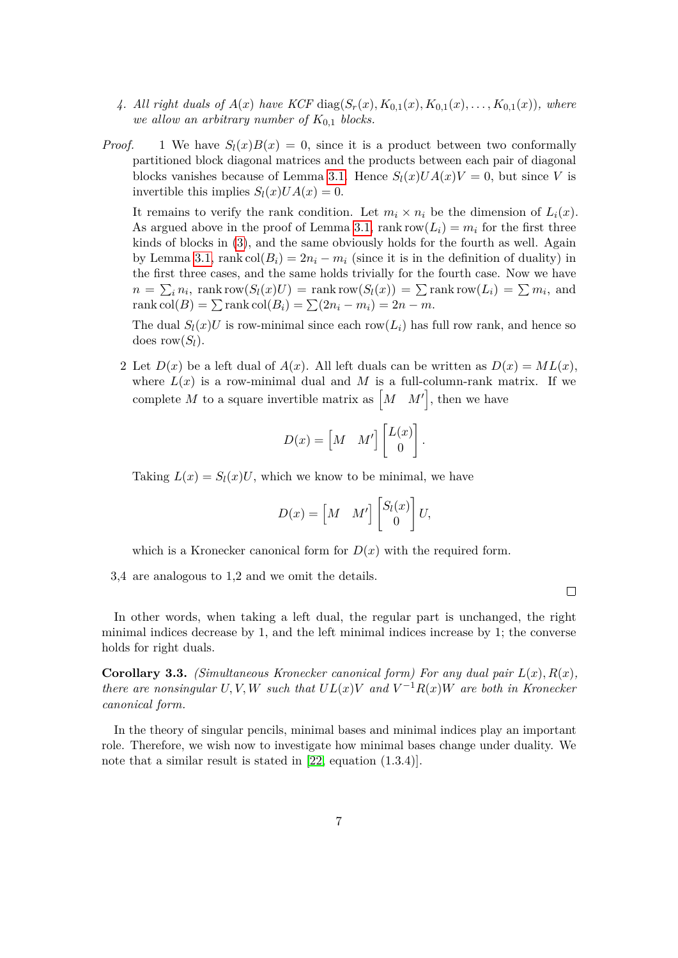- 4. All right duals of  $A(x)$  have KCF diag( $S_r(x)$ ,  $K_{0,1}(x)$ ,  $K_{0,1}(x)$ , ...,  $K_{0,1}(x)$ ), where *we allow an arbitrary number of*  $K_{0,1}$  *blocks.*
- *Proof.* 1 We have  $S_l(x)B(x) = 0$ , since it is a product between two conformally partitioned block diagonal matrices and the products between each pair of diagonal blocks vanishes because of Lemma [3.1.](#page-4-1) Hence  $S_l(x)UA(x)V = 0$ , but since *V* is invertible this implies  $S_l(x)UA(x) = 0$ .

It remains to verify the rank condition. Let  $m_i \times n_i$  be the dimension of  $L_i(x)$ . As argued above in the proof of Lemma [3.1,](#page-4-1) rank row $(L_i) = m_i$  for the first three kinds of blocks in [\(3\)](#page-5-1), and the same obviously holds for the fourth as well. Again by Lemma [3.1,](#page-4-1) rank col $(B_i) = 2n_i - m_i$  (since it is in the definition of duality) in the first three cases, and the same holds trivially for the fourth case. Now we have  $n = \sum_i n_i$ , rank row $(S_l(x)U) = \text{rank} \text{row}(S_l(x)) = \sum \text{rank} \text{row}(L_i) = \sum m_i$ , and  $rank col(B) = \sum rank col(B_i) = \sum (2n_i - m_i) = 2n - m.$ 

The dual  $S_l(x)U$  is row-minimal since each row( $L_i$ ) has full row rank, and hence so does  $row(S_l)$ .

2 Let  $D(x)$  be a left dual of  $A(x)$ . All left duals can be written as  $D(x) = ML(x)$ , where  $L(x)$  is a row-minimal dual and M is a full-column-rank matrix. If we complete M to a square invertible matrix as  $\begin{bmatrix} M & M' \end{bmatrix}$ , then we have

$$
D(x) = \begin{bmatrix} M & M' \end{bmatrix} \begin{bmatrix} L(x) \\ 0 \end{bmatrix}.
$$

Taking  $L(x) = S_l(x)U$ , which we know to be minimal, we have

$$
D(x) = \begin{bmatrix} M & M' \end{bmatrix} \begin{bmatrix} S_l(x) \\ 0 \end{bmatrix} U,
$$

 $\Box$ 

which is a Kronecker canonical form for  $D(x)$  with the required form.

3,4 are analogous to 1,2 and we omit the details.

In other words, when taking a left dual, the regular part is unchanged, the right minimal indices decrease by 1, and the left minimal indices increase by 1; the converse holds for right duals.

**Corollary 3.3.** *(Simultaneous Kronecker canonical form) For any dual pair*  $L(x)$ *,*  $R(x)$ *, there are nonsingular*  $U, V, W$  *such that*  $UL(x)V$  *and*  $V^{-1}R(x)W$  *are both in Kronecker canonical form.*

<span id="page-6-0"></span>In the theory of singular pencils, minimal bases and minimal indices play an important role. Therefore, we wish now to investigate how minimal bases change under duality. We note that a similar result is stated in [\[22,](#page-26-0) equation  $(1.3.4)$ ].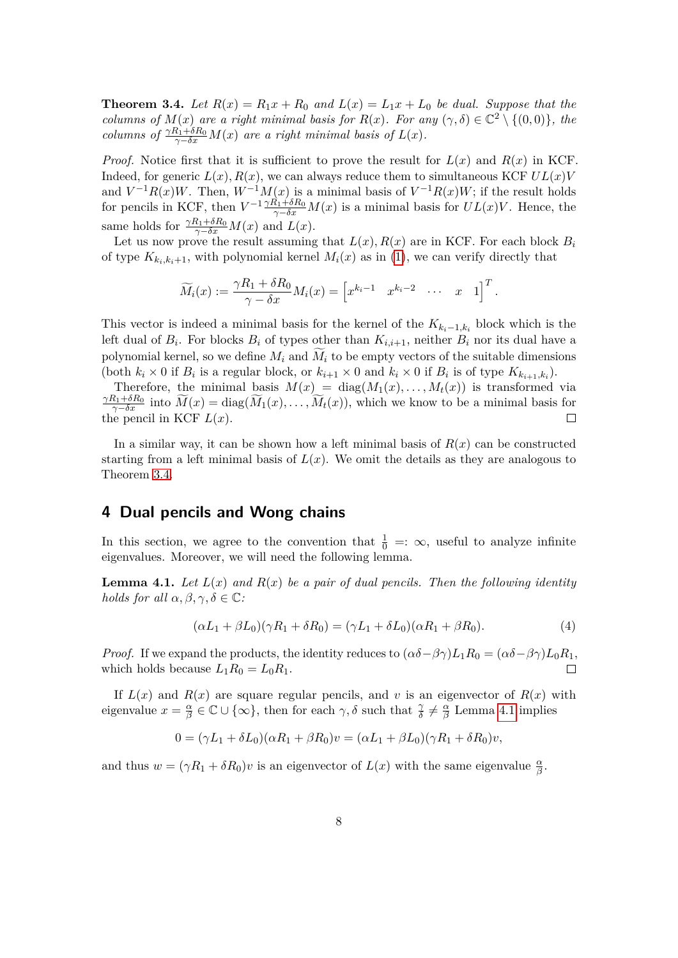**Theorem 3.4.** Let  $R(x) = R_1x + R_0$  and  $L(x) = L_1x + L_0$  be dual. Suppose that the *columns of*  $M(x)$  *are a right minimal basis for*  $R(x)$ *. For any*  $(\gamma, \delta) \in \mathbb{C}^2 \setminus \{(0,0)\},\$ *the columns of*  $\frac{\gamma R_1 + \delta R_0}{\gamma - \delta x} M(x)$  *are a right minimal basis of*  $L(x)$ *.* 

*Proof.* Notice first that it is sufficient to prove the result for  $L(x)$  and  $R(x)$  in KCF. Indeed, for generic  $L(x)$ ,  $R(x)$ , we can always reduce them to simultaneous KCF  $UL(x)V$ and  $V^{-1}R(x)W$ . Then,  $W^{-1}M(x)$  is a minimal basis of  $V^{-1}R(x)W$ ; if the result holds for pencils in KCF, then  $V^{-1} \frac{\gamma R_1 + \delta R_0}{\gamma - \delta x} M(x)$  is a minimal basis for  $UL(x)V$ . Hence, the same holds for  $\frac{\gamma R_1 + \delta R_0}{\gamma - \delta x} M(x)$  and  $L(x)$ .

Let us now prove the result assuming that  $L(x)$ ,  $R(x)$  are in KCF. For each block  $B_i$ of type  $K_{k_i,k_i+1}$ , with polynomial kernel  $M_i(x)$  as in [\(1\)](#page-3-1), we can verify directly that

$$
\widetilde{M}_i(x) := \frac{\gamma R_1 + \delta R_0}{\gamma - \delta x} M_i(x) = \begin{bmatrix} x^{k_i - 1} & x^{k_i - 2} & \cdots & x & 1 \end{bmatrix}^T.
$$

This vector is indeed a minimal basis for the kernel of the  $K_{k_i-1,k_i}$  block which is the left dual of  $B_i$ . For blocks  $B_i$  of types other than  $K_{i,i+1}$ , neither  $B_i$  nor its dual have a polynomial kernel, so we define  $M_i$  and  $\widetilde{M}_i$  to be empty vectors of the suitable dimensions (both  $k_i \times 0$  if  $B_i$  is a regular block, or  $k_{i+1} \times 0$  and  $k_i \times 0$  if  $B_i$  is of type  $K_{k_{i+1},k_i}$ ).

Therefore, the minimal basis  $M(x)$  = diag( $M_1(x), \ldots, M_t(x)$ ) is transformed via  $\frac{\gamma R_1 + \delta R_0}{\gamma - \delta x}$  into  $\widetilde{M}(x) = \text{diag}(\widetilde{M}_1(x), \ldots, \widetilde{M}_t(x))$ , which we know to be a minimal basis for the pencil in KCF  $L(x)$ .

In a similar way, it can be shown how a left minimal basis of  $R(x)$  can be constructed starting from a left minimal basis of  $L(x)$ . We omit the details as they are analogous to Theorem [3.4.](#page-6-0)

### <span id="page-7-0"></span>**4 Dual pencils and Wong chains**

In this section, we agree to the convention that  $\frac{1}{0} = : \infty$ , useful to analyze infinite eigenvalues. Moreover, we will need the following lemma.

<span id="page-7-1"></span>**Lemma 4.1.** Let  $L(x)$  and  $R(x)$  be a pair of dual pencils. Then the following identity *holds for all*  $\alpha, \beta, \gamma, \delta \in \mathbb{C}$ *:* 

$$
(\alpha L_1 + \beta L_0)(\gamma R_1 + \delta R_0) = (\gamma L_1 + \delta L_0)(\alpha R_1 + \beta R_0). \tag{4}
$$

*Proof.* If we expand the products, the identity reduces to  $(\alpha \delta - \beta \gamma) L_1 R_0 = (\alpha \delta - \beta \gamma) L_0 R_1$ , which holds because  $L_1R_0 = L_0R_1$ .  $\Box$ 

If  $L(x)$  and  $R(x)$  are square regular pencils, and v is an eigenvector of  $R(x)$  with eigenvalue  $x = \frac{\alpha}{\beta}$  $\frac{\alpha}{\beta} \in \mathbb{C} \cup \{\infty\}$ , then for each  $\gamma$ ,  $\delta$  such that  $\frac{\gamma}{\delta} \neq \frac{\alpha}{\beta}$ *β* Lemma [4.1](#page-7-1) implies

$$
0 = (\gamma L_1 + \delta L_0)(\alpha R_1 + \beta R_0)v = (\alpha L_1 + \beta L_0)(\gamma R_1 + \delta R_0)v,
$$

and thus  $w = (\gamma R_1 + \delta R_0)v$  is an eigenvector of  $L(x)$  with the same eigenvalue  $\frac{\alpha}{\beta}$ .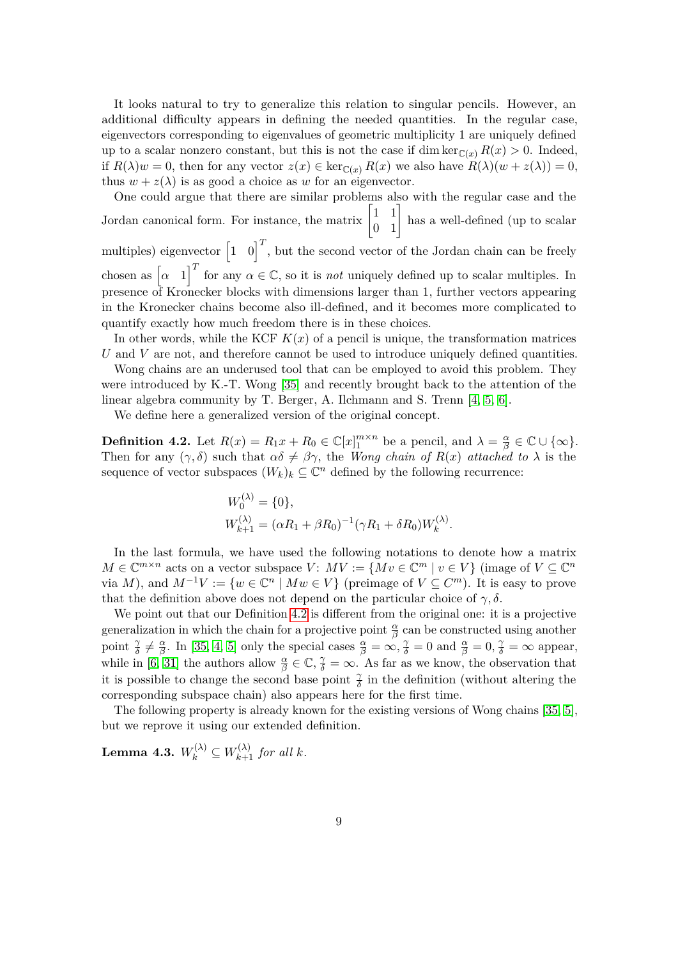It looks natural to try to generalize this relation to singular pencils. However, an additional difficulty appears in defining the needed quantities. In the regular case, eigenvectors corresponding to eigenvalues of geometric multiplicity 1 are uniquely defined up to a scalar nonzero constant, but this is not the case if dim ker $\mathcal{C}(x)$   $R(x) > 0$ . Indeed, if  $R(\lambda)w = 0$ , then for any vector  $z(x) \in \ker_{\mathbb{C}(x)} R(x)$  we also have  $R(\lambda)(w + z(\lambda)) = 0$ , thus  $w + z(\lambda)$  is as good a choice as w for an eigenvector.

One could argue that there are similar problems also with the regular case and the Jordan canonical form. For instance, the matrix  $\begin{bmatrix} 1 & 1 \\ 0 & 1 \end{bmatrix}$  has a well-defined (up to scalar multiples) eigenvector  $\begin{bmatrix} 1 & 0 \end{bmatrix}^T$ , but the second vector of the Jordan chain can be freely chosen as  $\begin{bmatrix} \alpha & 1 \end{bmatrix}^T$  for any  $\alpha \in \mathbb{C}$ , so it is *not* uniquely defined up to scalar multiples. In presence of Kronecker blocks with dimensions larger than 1, further vectors appearing in the Kronecker chains become also ill-defined, and it becomes more complicated to quantify exactly how much freedom there is in these choices.

In other words, while the KCF  $K(x)$  of a pencil is unique, the transformation matrices *U* and *V* are not, and therefore cannot be used to introduce uniquely defined quantities.

Wong chains are an underused tool that can be employed to avoid this problem. They were introduced by K.-T. Wong [\[35\]](#page-26-5) and recently brought back to the attention of the linear algebra community by T. Berger, A. Ilchmann and S. Trenn [\[4,](#page-24-3) [5,](#page-24-4) [6\]](#page-24-5).

We define here a generalized version of the original concept.

<span id="page-8-0"></span>**Definition 4.2.** Let  $R(x) = R_1x + R_0 \in \mathbb{C}[x]_1^{m \times n}$  be a pencil, and  $\lambda = \frac{\alpha}{\beta}$  $\frac{\alpha}{\beta}$  ∈ **C** ∪ {∞}. Then for any  $(\gamma, \delta)$  such that  $\alpha\delta \neq \beta\gamma$ , the *Wong chain of*  $R(x)$  *attached to*  $\lambda$  is the sequence of vector subspaces  $(W_k)_k \subseteq \mathbb{C}^n$  defined by the following recurrence:

$$
W_0^{(\lambda)} = \{0\},
$$
  
\n
$$
W_{k+1}^{(\lambda)} = (\alpha R_1 + \beta R_0)^{-1} (\gamma R_1 + \delta R_0) W_k^{(\lambda)}.
$$

In the last formula, we have used the following notations to denote how a matrix  $M \in \mathbb{C}^{m \times n}$  acts on a vector subspace  $V: MV := \{Mv \in \mathbb{C}^m \mid v \in V\}$  (image of  $V \subseteq \mathbb{C}^n$ ) via *M*), and  $M^{-1}V := \{w \in \mathbb{C}^n \mid Mw \in V\}$  (preimage of  $V \subseteq C^m$ ). It is easy to prove that the definition above does not depend on the particular choice of  $\gamma$ ,  $\delta$ .

We point out that our Definition [4.2](#page-8-0) is different from the original one: it is a projective generalization in which the chain for a projective point  $\frac{\alpha}{\beta}$  can be constructed using another point  $\frac{\gamma}{\delta} \neq \frac{\alpha}{\beta}$ *β*. In [\[35,](#page-26-5) [4,](#page-24-3) [5\]](#page-24-4) only the special cases  $\frac{\alpha}{\beta} = \infty$ ,  $\frac{\gamma}{\delta} = 0$  and  $\frac{\alpha}{\beta} = 0$ ,  $\frac{\gamma}{\delta} = \infty$  appear, while in [\[6,](#page-24-5) [31\]](#page-26-6) the authors allow  $\frac{\alpha}{\beta} \in \mathbb{C}$ ,  $\frac{\gamma}{\delta} = \infty$ . As far as we know, the observation that it is possible to change the second base point  $\frac{\gamma}{\delta}$  in the definition (without altering the corresponding subspace chain) also appears here for the first time.

The following property is already known for the existing versions of Wong chains [\[35,](#page-26-5) [5\]](#page-24-4), but we reprove it using our extended definition.

 $\mathbf{Lemma \ 4.3.} \ \ W_{k}^{(\lambda)} \subseteq W_{k+1}^{(\lambda)} \ \ for \ all \ k.$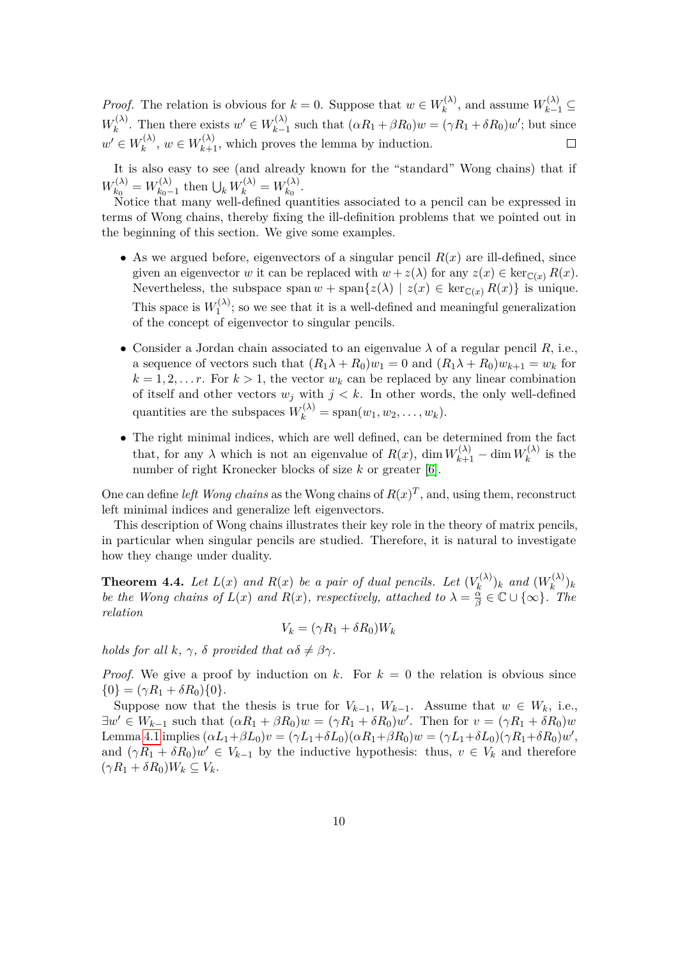*Proof.* The relation is obvious for  $k = 0$ . Suppose that  $w \in W_k^{(\lambda)}$  $W_k^{(\lambda)}$ , and assume  $W_{k-1}^{(\lambda)}$  ⊆  $W_k^{(\lambda)}$  $w' \in W_{k-1}^{(\lambda)}$ . Then there exists  $w' \in W_{k-1}^{(\lambda)}$  $\chi_{k-1}^{(\lambda)}$  such that  $(\alpha R_1 + \beta R_0)w = (\gamma R_1 + \delta R_0)w'$ ; but since  $w' \in W_k^{(\lambda)}$  $w_k^{(\lambda)}$ ,  $w \in W_{k+1}^{(\lambda)}$ , which proves the lemma by induction.

It is also easy to see (and already known for the "standard" Wong chains) that if  $W_{k_0}^{(\lambda)}$  $W_{k_0}^{(\lambda)} = W_{k_0-1}^{(\lambda)}$  $W_{k_0-1}^{(\lambda)}$  then  $\bigcup_k W_k^{(\lambda)} = W_{k_0}^{(\lambda)}$  $\frac{k(0)}{k_0}$ .

Notice that many well-defined quantities associated to a pencil can be expressed in terms of Wong chains, thereby fixing the ill-definition problems that we pointed out in the beginning of this section. We give some examples.

- As we argued before, eigenvectors of a singular pencil  $R(x)$  are ill-defined, since given an eigenvector *w* it can be replaced with  $w + z(\lambda)$  for any  $z(x) \in \text{ker}_{\mathbb{C}(x)} R(x)$ . Nevertheless, the subspace span  $w + \text{span}\{z(\lambda) | z(x) \in \ker_{\mathbb{C}(x)} R(x)\}\$ is unique. This space is  $W_1^{(\lambda)}$  $t_1^{(A)}$ ; so we see that it is a well-defined and meaningful generalization of the concept of eigenvector to singular pencils.
- *•* Consider a Jordan chain associated to an eigenvalue *λ* of a regular pencil *R*, i.e., a sequence of vectors such that  $(R_1\lambda + R_0)w_1 = 0$  and  $(R_1\lambda + R_0)w_{k+1} = w_k$  for  $k = 1, 2, \ldots r$ . For  $k > 1$ , the vector  $w_k$  can be replaced by any linear combination of itself and other vectors  $w_j$  with  $j < k$ . In other words, the only well-defined quantities are the subspaces  $W_k^{(\lambda)} = \text{span}(w_1, w_2, \dots, w_k)$ .
- *•* The right minimal indices, which are well defined, can be determined from the fact that, for any  $\lambda$  which is not an eigenvalue of  $R(x)$ , dim  $W_{k+1}^{(\lambda)} - \dim W_k^{(\lambda)}$  $\int_k^{(\lambda)}$  is the number of right Kronecker blocks of size *k* or greater [\[6\]](#page-24-5).

One can define *left Wong chains* as the Wong chains of  $R(x)^T$ , and, using them, reconstruct left minimal indices and generalize left eigenvectors.

This description of Wong chains illustrates their key role in the theory of matrix pencils, in particular when singular pencils are studied. Therefore, it is natural to investigate how they change under duality.

<span id="page-9-0"></span>**Theorem 4.4.** Let  $L(x)$  and  $R(x)$  be a pair of dual pencils. Let  $(V_k^{(\lambda)})$  $\binom{n(\lambda)}{k}$ *k and*  $(W_k^{(\lambda)}$  ${k^{(\mathcal{A})}}_k$ *be the Wong chains of*  $L(x)$  *and*  $R(x)$ *, respectively, attached to*  $\lambda = \frac{\alpha}{\beta}$  $\frac{\overset{\cdot\alpha}{\alpha}}{\beta}$  ∈  $\mathbb{C}$  ∪  $\{\infty\}$ *.* The *relation*

$$
V_k = (\gamma R_1 + \delta R_0) W_k
$$

*holds for all*  $k$ *,*  $\gamma$ *,*  $\delta$  *provided that*  $\alpha \delta \neq \beta \gamma$ *.* 

*Proof.* We give a proof by induction on  $k$ . For  $k = 0$  the relation is obvious since  $\{0\} = (\gamma R_1 + \delta R_0)\{0\}.$ 

Suppose now that the thesis is true for  $V_{k-1}$ ,  $W_{k-1}$ . Assume that  $w \in W_k$ , i.e.,  $\exists w' \in W_{k-1}$  such that  $(\alpha R_1 + \beta R_0)w = (\gamma R_1 + \delta R_0)w'$ . Then for  $v = (\gamma R_1 + \delta R_0)w$ Lemma [4.1](#page-7-1) implies  $(\alpha L_1 + \beta L_0)v = (\gamma L_1 + \delta L_0)(\alpha R_1 + \beta R_0)w = (\gamma L_1 + \delta L_0)(\gamma R_1 + \delta R_0)w'$ and  $(\gamma R_1 + \delta R_0)w' \in V_{k-1}$  by the inductive hypothesis: thus,  $v \in V_k$  and therefore  $(\gamma R_1 + \delta R_0)W_k \subseteq V_k$ .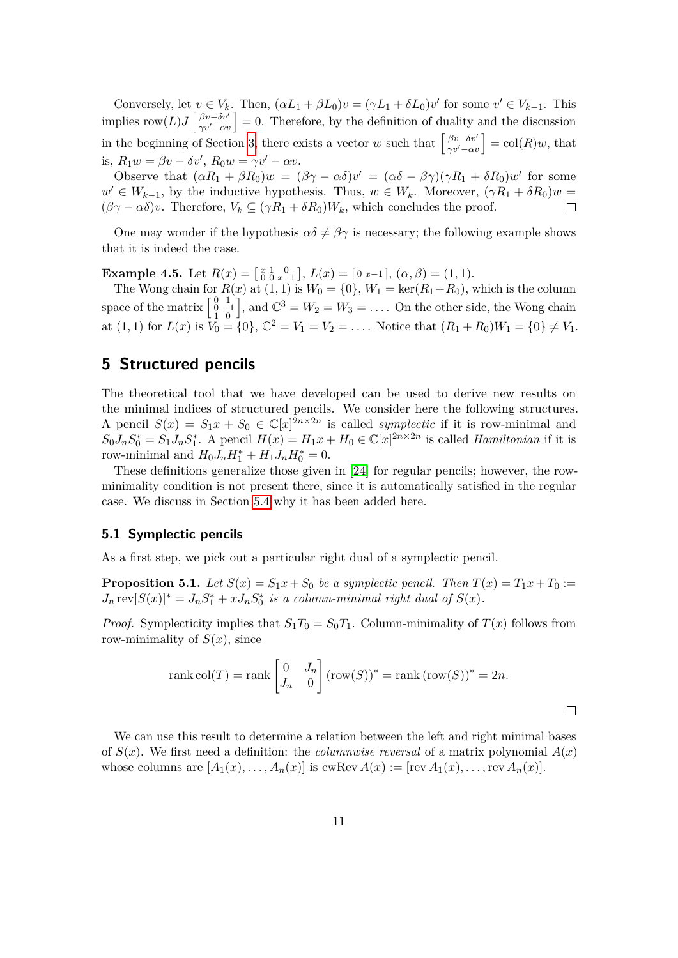Conversely, let  $v \in V_k$ . Then,  $(\alpha L_1 + \beta L_0)v = (\gamma L_1 + \delta L_0)v'$  for some  $v' \in V_{k-1}$ . This implies row $(L)J\begin{bmatrix} \beta v-\delta v'\\ \gamma v'-\alpha v \end{bmatrix} = 0$ . Therefore, by the definition of duality and the discussion in the beginning of Section [3,](#page-4-0) there exists a vector *w* such that  $\begin{bmatrix} \beta v - \delta v' \\ \gamma v' - \alpha v \end{bmatrix} = \text{col}(R)w$ , that is,  $R_1w = \beta v - \delta v'$ ,  $R_0w = \gamma v' - \alpha v$ .

Observe that  $(\alpha R_1 + \beta R_0)w = (\beta \gamma - \alpha \delta)v' = (\alpha \delta - \beta \gamma)(\gamma R_1 + \delta R_0)w'$  for some  $w' \in W_{k-1}$ , by the inductive hypothesis. Thus,  $w \in W_k$ . Moreover,  $(\gamma R_1 + \delta R_0)w =$  $(\beta \gamma - \alpha \delta)v$ . Therefore,  $V_k \subseteq (\gamma R_1 + \delta R_0)W_k$ , which concludes the proof.  $\Box$ 

One may wonder if the hypothesis  $\alpha\delta \neq \beta\gamma$  is necessary; the following example shows that it is indeed the case.

**Example 4.5.** Let  $R(x) = \begin{bmatrix} x & 1 & 0 \\ 0 & 0 & x-1 \end{bmatrix}$ ,  $L(x) = \begin{bmatrix} 0 & x-1 \end{bmatrix}$ ,  $(\alpha, \beta) = (1, 1)$ .

The Wong chain for  $R(x)$  at  $(1, 1)$  is  $W_0 = \{0\}$ ,  $W_1 = \text{ker}(R_1 + R_0)$ , which is the column space of the matrix  $\begin{bmatrix} 0 & 1 \\ 0 & -1 \\ 1 & 0 \end{bmatrix}$ , and  $\mathbb{C}^3 = W_2 = W_3 = \ldots$  On the other side, the Wong chain at  $(1,1)$  for  $L(x)$  is  $V_0 = \{0\}$ ,  $\mathbb{C}^2 = V_1 = V_2 = \ldots$ . Notice that  $(R_1 + R_0)W_1 = \{0\} \neq V_1$ .

# <span id="page-10-0"></span>**5 Structured pencils**

The theoretical tool that we have developed can be used to derive new results on the minimal indices of structured pencils. We consider here the following structures. A pencil  $S(x) = S_1x + S_0 \in \mathbb{C}[x]^{2n \times 2n}$  is called *symplectic* if it is row-minimal and  $S_0J_nS_0^* = S_1J_nS_1^*$ . A pencil  $H(x) = H_1x + H_0 \in \mathbb{C}[x]^{2n \times 2n}$  is called *Hamiltonian* if it is row-minimal and  $H_0 J_n H_1^* + H_1 J_n H_0^* = 0.$ 

These definitions generalize those given in [\[24\]](#page-26-7) for regular pencils; however, the rowminimality condition is not present there, since it is automatically satisfied in the regular case. We discuss in Section [5.4](#page-12-0) why it has been added here.

#### **5.1 Symplectic pencils**

As a first step, we pick out a particular right dual of a symplectic pencil.

**Proposition 5.1.** *Let*  $S(x) = S_1x + S_0$  *be a symplectic pencil. Then*  $T(x) = T_1x + T_0$  :=  $J_n \text{rev}[S(x)]^* = J_n S_1^* + x J_n S_0^*$  is a column-minimal right dual of  $S(x)$ *.* 

*Proof.* Symplecticity implies that  $S_1T_0 = S_0T_1$ . Column-minimality of  $T(x)$  follows from row-minimality of  $S(x)$ , since

rank col(T) = rank 
$$
\begin{bmatrix} 0 & J_n \ J_n & 0 \end{bmatrix}
$$
 (row(S))<sup>\*</sup> = rank (row(S))<sup>\*</sup> = 2n.

We can use this result to determine a relation between the left and right minimal bases of  $S(x)$ . We first need a definition: the *columnwise reversal* of a matrix polynomial  $A(x)$ whose columns are  $[A_1(x), \ldots, A_n(x)]$  is cwRev  $A(x) := [\text{rev } A_1(x), \ldots, \text{rev } A_n(x)]$ .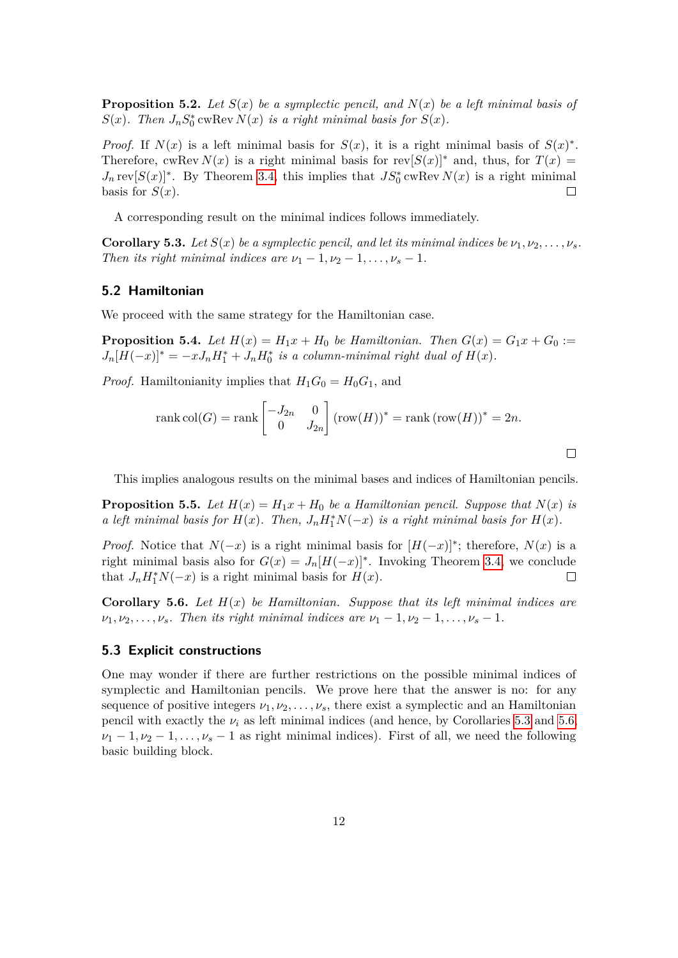**Proposition 5.2.** Let  $S(x)$  be a symplectic pencil, and  $N(x)$  be a left minimal basis of *S*(*x*)*. Then*  $J_nS_0^*$  *cwRev*  $N(x)$  *<i>is a right minimal basis for*  $S(x)$ *.* 

*Proof.* If  $N(x)$  is a left minimal basis for  $S(x)$ , it is a right minimal basis of  $S(x)^*$ . Therefore, cwRev  $N(x)$  is a right minimal basis for  $rev[S(x)]^*$  and, thus, for  $T(x) =$  $J_n \text{rev}[S(x)]^*$ . By Theorem [3.4,](#page-6-0) this implies that  $JS_0^*$  cwRev  $N(x)$  is a right minimal basis for  $S(x)$ .  $\Box$ 

A corresponding result on the minimal indices follows immediately.

<span id="page-11-0"></span>**Corollary 5.3.** *Let*  $S(x)$  *be a symplectic pencil, and let its minimal indices be*  $\nu_1, \nu_2, \ldots, \nu_s$ . *Then its right minimal indices are*  $\nu_1 - 1, \nu_2 - 1, \ldots, \nu_s - 1$ .

#### **5.2 Hamiltonian**

We proceed with the same strategy for the Hamiltonian case.

**Proposition 5.4.** *Let*  $H(x) = H_1x + H_0$  *be Hamiltonian. Then*  $G(x) = G_1x + G_0$  :=  $J_n[H(-x)]^* = -xJ_nH_1^* + J_nH_0^*$  is a column-minimal right dual of  $H(x)$ .

*Proof.* Hamiltonianity implies that  $H_1G_0 = H_0G_1$ , and

$$
rank col(G) = rank \begin{bmatrix} -J_{2n} & 0 \\ 0 & J_{2n} \end{bmatrix} (row(H))^{*} = rank (row(H))^{*} = 2n.
$$

This implies analogous results on the minimal bases and indices of Hamiltonian pencils.

 $\Box$ 

**Proposition 5.5.** Let  $H(x) = H_1x + H_0$  be a Hamiltonian pencil. Suppose that  $N(x)$  is *a left minimal basis for*  $H(x)$ *. Then,*  $J_n H_1^* N(-x)$  *is a right minimal basis for*  $H(x)$ *.* 

*Proof.* Notice that  $N(-x)$  is a right minimal basis for  $[H(-x)]^*$ ; therefore,  $N(x)$  is a right minimal basis also for  $G(x) = J_n[H(-x)]^*$ . Invoking Theorem [3.4,](#page-6-0) we conclude that  $J_n H_1^* N(-x)$  is a right minimal basis for  $H(x)$ .  $\Box$ 

<span id="page-11-1"></span>**Corollary 5.6.** Let  $H(x)$  be Hamiltonian. Suppose that its left minimal indices are  $\nu_1, \nu_2, \ldots, \nu_s$ *. Then its right minimal indices are*  $\nu_1 - 1, \nu_2 - 1, \ldots, \nu_s - 1$ *.* 

#### **5.3 Explicit constructions**

One may wonder if there are further restrictions on the possible minimal indices of symplectic and Hamiltonian pencils. We prove here that the answer is no: for any sequence of positive integers  $\nu_1, \nu_2, \ldots, \nu_s$ , there exist a symplectic and an Hamiltonian pencil with exactly the  $\nu_i$  as left minimal indices (and hence, by Corollaries [5.3](#page-11-0) and [5.6,](#page-11-1)  $\nu_1$  − 1,  $\nu_2$  − 1, ...,  $\nu_s$  − 1 as right minimal indices). First of all, we need the following basic building block.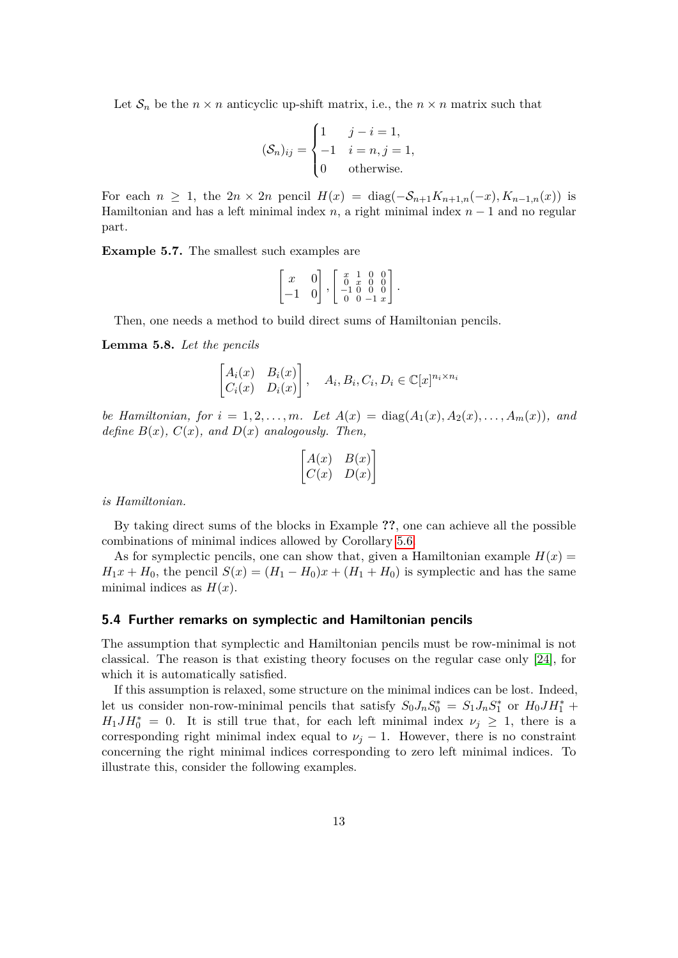Let  $S_n$  be the  $n \times n$  anticyclic up-shift matrix, i.e., the  $n \times n$  matrix such that

$$
(\mathcal{S}_n)_{ij} = \begin{cases} 1 & j - i = 1, \\ -1 & i = n, j = 1, \\ 0 & \text{otherwise.} \end{cases}
$$

For each  $n \geq 1$ , the  $2n \times 2n$  pencil  $H(x) = \text{diag}(-S_{n+1}K_{n+1,n}(-x), K_{n-1,n}(x))$  is Hamiltonian and has a left minimal index  $n$ , a right minimal index  $n-1$  and no regular part.

**Example 5.7.** The smallest such examples are

$$
\begin{bmatrix} x & 0 \\ -1 & 0 \end{bmatrix}, \begin{bmatrix} x & 1 & 0 & 0 \\ 0 & x & 0 & 0 \\ -1 & 0 & 0 & 0 \\ 0 & 0 & -1 & x \end{bmatrix}.
$$

Then, one needs a method to build direct sums of Hamiltonian pencils.

**Lemma 5.8.** *Let the pencils*

$$
\begin{bmatrix} A_i(x) & B_i(x) \\ C_i(x) & D_i(x) \end{bmatrix}, \quad A_i, B_i, C_i, D_i \in \mathbb{C}[x]^{n_i \times n_i}
$$

*be Hamiltonian, for*  $i = 1, 2, ..., m$ *. Let*  $A(x) = \text{diag}(A_1(x), A_2(x), ..., A_m(x))$ *, and define*  $B(x)$ *,*  $C(x)$ *, and*  $D(x)$  *analogously. Then,* 

$$
\begin{bmatrix} A(x) & B(x) \\ C(x) & D(x) \end{bmatrix}
$$

*is Hamiltonian.*

By taking direct sums of the blocks in Example **??**, one can achieve all the possible combinations of minimal indices allowed by Corollary [5.6.](#page-11-1)

As for symplectic pencils, one can show that, given a Hamiltonian example  $H(x)$  $H_1x + H_0$ , the pencil  $S(x) = (H_1 - H_0)x + (H_1 + H_0)$  is symplectic and has the same minimal indices as  $H(x)$ .

#### <span id="page-12-0"></span>**5.4 Further remarks on symplectic and Hamiltonian pencils**

The assumption that symplectic and Hamiltonian pencils must be row-minimal is not classical. The reason is that existing theory focuses on the regular case only [\[24\]](#page-26-7), for which it is automatically satisfied.

If this assumption is relaxed, some structure on the minimal indices can be lost. Indeed, let us consider non-row-minimal pencils that satisfy  $S_0J_nS_0^* = S_1J_nS_1^*$  or  $H_0JH_1^*$  +  $H_1 J H_0^* = 0$ . It is still true that, for each left minimal index  $\nu_j \geq 1$ , there is a corresponding right minimal index equal to  $\nu_j - 1$ . However, there is no constraint concerning the right minimal indices corresponding to zero left minimal indices. To illustrate this, consider the following examples.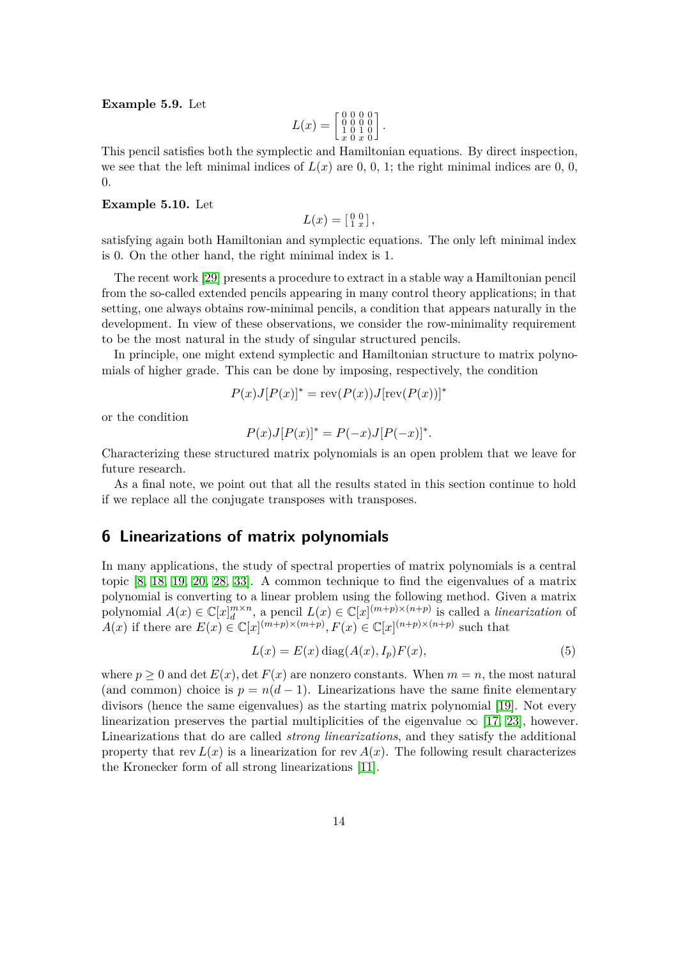#### **Example 5.9.** Let

$$
L(x) = \begin{bmatrix} 0 & 0 & 0 & 0 \\ 0 & 0 & 0 & 0 \\ 1 & 0 & 1 & 0 \\ x & 0 & x & 0 \end{bmatrix}.
$$

This pencil satisfies both the symplectic and Hamiltonian equations. By direct inspection, we see that the left minimal indices of  $L(x)$  are 0, 0, 1; the right minimal indices are 0, 0, 0.

#### **Example 5.10.** Let

$$
L(x) = \left[\begin{smallmatrix} 0 & 0 \\ 1 & x \end{smallmatrix}\right],
$$

satisfying again both Hamiltonian and symplectic equations. The only left minimal index is 0. On the other hand, the right minimal index is 1.

The recent work [\[29\]](#page-26-8) presents a procedure to extract in a stable way a Hamiltonian pencil from the so-called extended pencils appearing in many control theory applications; in that setting, one always obtains row-minimal pencils, a condition that appears naturally in the development. In view of these observations, we consider the row-minimality requirement to be the most natural in the study of singular structured pencils.

In principle, one might extend symplectic and Hamiltonian structure to matrix polynomials of higher grade. This can be done by imposing, respectively, the condition

$$
P(x)J[P(x)]^* = \text{rev}(P(x))J[\text{rev}(P(x))]^*
$$

or the condition

$$
P(x)J[P(x)]^* = P(-x)J[P(-x)]^*.
$$

Characterizing these structured matrix polynomials is an open problem that we leave for future research.

As a final note, we point out that all the results stated in this section continue to hold if we replace all the conjugate transposes with transposes.

### **6 Linearizations of matrix polynomials**

In many applications, the study of spectral properties of matrix polynomials is a central topic [\[8,](#page-25-5) [18,](#page-25-6) [19,](#page-25-2) [20,](#page-25-7) [28,](#page-26-9) [33\]](#page-26-10). A common technique to find the eigenvalues of a matrix polynomial is converting to a linear problem using the following method. Given a matrix polynomial  $A(x) \in \mathbb{C}[x]_d^{m \times n}$ , a pencil  $L(x) \in \mathbb{C}[x]^{(m+p)\times(n+p)}$  is called a *linearization* of *A*(*x*) if there are  $E(x) \in \mathbb{C}[x]^{(m+p)\times(m+p)}$ ,  $F(x) \in \mathbb{C}[x]^{(n+p)\times(n+p)}$  such that

$$
L(x) = E(x) \operatorname{diag}(A(x), I_p) F(x), \tag{5}
$$

<span id="page-13-0"></span>where  $p \geq 0$  and det  $E(x)$ , det  $F(x)$  are nonzero constants. When  $m = n$ , the most natural (and common) choice is  $p = n(d-1)$ . Linearizations have the same finite elementary divisors (hence the same eigenvalues) as the starting matrix polynomial [\[19\]](#page-25-2). Not every linearization preserves the partial multiplicities of the eigenvalue  $\infty$  [\[17,](#page-25-8) [23\]](#page-26-11), however. Linearizations that do are called *strong linearizations*, and they satisfy the additional property that rev  $L(x)$  is a linearization for rev  $A(x)$ . The following result characterizes the Kronecker form of all strong linearizations [\[11\]](#page-25-9).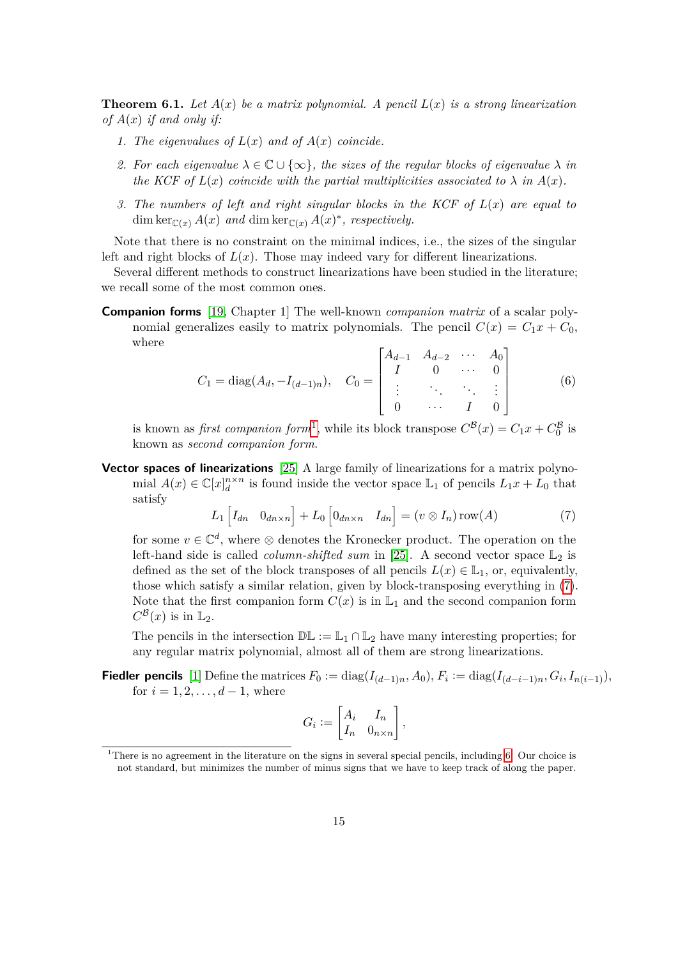**Theorem 6.1.** Let  $A(x)$  be a matrix polynomial. A pencil  $L(x)$  is a strong linearization *of A*(*x*) *if and only if:*

- 1. The eigenvalues of  $L(x)$  and of  $A(x)$  coincide.
- 2. For each eigenvalue  $\lambda \in \mathbb{C} \cup \{\infty\}$ , the sizes of the regular blocks of eigenvalue  $\lambda$  in *the KCF of*  $L(x)$  *coincide with the partial multiplicities associated to*  $\lambda$  *in*  $A(x)$ *.*
- *3. The numbers of left and right singular blocks in the KCF of L*(*x*) *are equal to* dim ker $\mathcal{C}(x)$  *A*(*x*) *and* dim ker $\mathcal{C}(x)$  *A*(*x*)<sup>\*</sup>, *respectively.*

Note that there is no constraint on the minimal indices, i.e., the sizes of the singular left and right blocks of  $L(x)$ . Those may indeed vary for different linearizations.

Several different methods to construct linearizations have been studied in the literature; we recall some of the most common ones.

**Companion forms** [\[19,](#page-25-2) Chapter 1] The well-known *companion matrix* of a scalar polynomial generalizes easily to matrix polynomials. The pencil  $C(x) = C_1x + C_0$ , where  $\mathbf{r}$ .  $\overline{1}$ 

<span id="page-14-2"></span>
$$
C_1 = \text{diag}(A_d, -I_{(d-1)n}), \quad C_0 = \begin{bmatrix} A_{d-1} & A_{d-2} & \cdots & A_0 \\ I & 0 & \cdots & 0 \\ \vdots & \ddots & \ddots & \vdots \\ 0 & \cdots & I & 0 \end{bmatrix}
$$
(6)

is known as *first companion form*<sup>[1](#page-14-0)</sup>, while its block transpose  $C^{\mathcal{B}}(x) = C_1 x + C_0^{\mathcal{B}}$  is known as *second companion form*.

**Vector spaces of linearizations** [\[25\]](#page-26-2) A large family of linearizations for a matrix polynomial  $A(x) \in \mathbb{C}[x]_d^{n \times n}$  is found inside the vector space  $\mathbb{L}_1$  of pencils  $L_1x + L_0$  that satisfy

<span id="page-14-1"></span>
$$
L_1 \left[ I_{dn} \quad 0_{dn \times n} \right] + L_0 \left[ 0_{dn \times n} \quad I_{dn} \right] = (v \otimes I_n) \operatorname{row}(A) \tag{7}
$$

for some  $v \in \mathbb{C}^d$ , where  $\otimes$  denotes the Kronecker product. The operation on the left-hand side is called *column-shifted sum* in [\[25\]](#page-26-2). A second vector space  $\mathbb{L}_2$  is defined as the set of the block transposes of all pencils  $L(x) \in \mathbb{L}_1$ , or, equivalently, those which satisfy a similar relation, given by block-transposing everything in [\(7\)](#page-14-1). Note that the first companion form  $C(x)$  is in  $\mathbb{L}_1$  and the second companion form  $C^{\mathcal{B}}(x)$  is in  $\mathbb{L}_2$ .

The pencils in the intersection  $\mathbb{DL} := \mathbb{L}_1 \cap \mathbb{L}_2$  have many interesting properties; for any regular matrix polynomial, almost all of them are strong linearizations.

**Fiedler pencils** [\[1\]](#page-24-6) Define the matrices  $F_0 := \text{diag}(I_{(d-1)n}, A_0), F_i := \text{diag}(I_{(d-i-1)n}, G_i, I_{n(i-1)}),$ for  $i = 1, 2, ..., d - 1$ , where

$$
G_i := \begin{bmatrix} A_i & I_n \\ I_n & 0_{n \times n} \end{bmatrix},
$$

<span id="page-14-0"></span><sup>&</sup>lt;sup>1</sup>There is no agreement in the literature on the signs in several special pencils, including [6.](#page-14-2) Our choice is not standard, but minimizes the number of minus signs that we have to keep track of along the paper.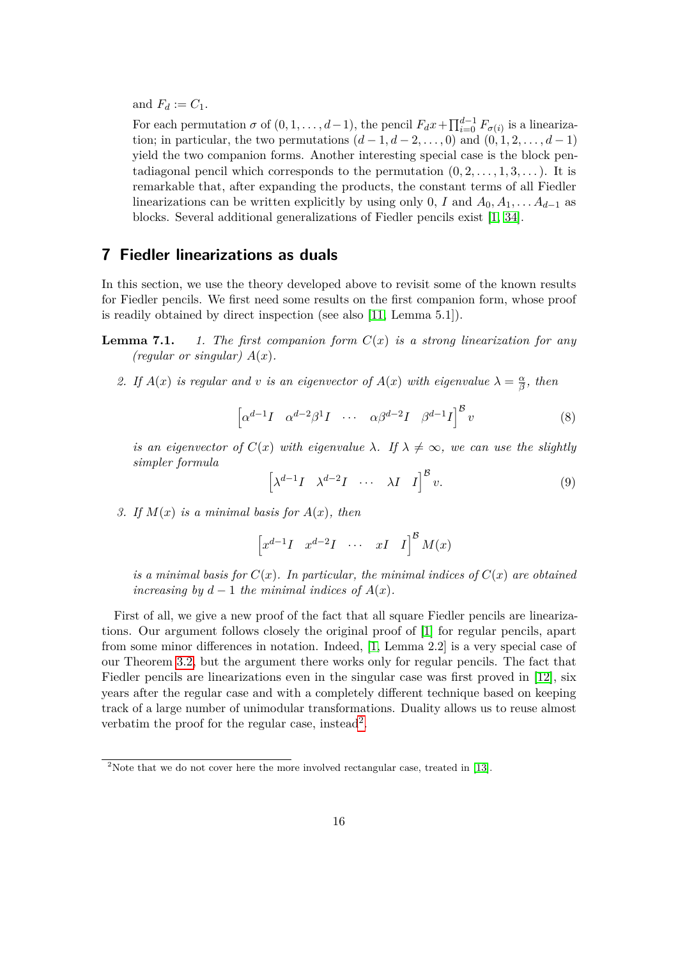and  $F_d := C_1$ .

For each permutation  $\sigma$  of  $(0, 1, \ldots, d-1)$ , the pencil  $F_d x + \prod_{i=0}^{d-1} F_{\sigma(i)}$  is a linearization; in particular, the two permutations  $(d-1, d-2, \ldots, 0)$  and  $(0, 1, 2, \ldots, d-1)$ yield the two companion forms. Another interesting special case is the block pentadiagonal pencil which corresponds to the permutation  $(0, 2, \ldots, 1, 3, \ldots)$ . It is remarkable that, after expanding the products, the constant terms of all Fiedler linearizations can be written explicitly by using only 0, *I* and  $A_0, A_1, \ldots, A_{d-1}$  as blocks. Several additional generalizations of Fiedler pencils exist [\[1,](#page-24-6) [34\]](#page-26-12).

# <span id="page-15-0"></span>**7 Fiedler linearizations as duals**

In this section, we use the theory developed above to revisit some of the known results for Fiedler pencils. We first need some results on the first companion form, whose proof is readily obtained by direct inspection (see also [\[11,](#page-25-9) Lemma 5.1]).

- <span id="page-15-2"></span>**Lemma 7.1.** *1. The first companion form*  $C(x)$  *is a strong linearization for any (regular or singular)*  $A(x)$ .
	- 2. If  $A(x)$  *is regular and v is an eigenvector of*  $A(x)$  *with eigenvalue*  $\lambda = \frac{\alpha}{\beta}$ *β , then*

<span id="page-15-4"></span>
$$
\left[\alpha^{d-1}I \quad \alpha^{d-2}\beta^1I \quad \cdots \quad \alpha\beta^{d-2}I \quad \beta^{d-1}I\right]^\mathcal{B}v \tag{8}
$$

*is an eigenvector of*  $C(x)$  *with eigenvalue*  $\lambda$ *. If*  $\lambda \neq \infty$ *, we can use the slightly simpler formula*

<span id="page-15-3"></span>
$$
\left[\lambda^{d-1}I \quad \lambda^{d-2}I \quad \cdots \quad \lambda I \quad I\right]^{\mathcal{B}}v. \tag{9}
$$

*3. If M*(*x*) *is a minimal basis for A*(*x*)*, then*

$$
\begin{bmatrix} x^{d-1}I & x^{d-2}I & \cdots & xI & I \end{bmatrix}^{\mathcal{B}}M(x)
$$

*is a minimal basis for*  $C(x)$ *. In particular, the minimal indices of*  $C(x)$  *are obtained increasing by*  $d-1$  *the minimal indices of*  $A(x)$ *.* 

First of all, we give a new proof of the fact that all square Fiedler pencils are linearizations. Our argument follows closely the original proof of [\[1\]](#page-24-6) for regular pencils, apart from some minor differences in notation. Indeed, [\[1,](#page-24-6) Lemma 2.2] is a very special case of our Theorem [3.2,](#page-5-2) but the argument there works only for regular pencils. The fact that Fiedler pencils are linearizations even in the singular case was first proved in [\[12\]](#page-25-10), six years after the regular case and with a completely different technique based on keeping track of a large number of unimodular transformations. Duality allows us to reuse almost verbatim the proof for the regular case, instead<sup>[2](#page-15-1)</sup>.

<span id="page-15-1"></span><sup>&</sup>lt;sup>2</sup>Note that we do not cover here the more involved rectangular case, treated in [\[13\]](#page-25-11).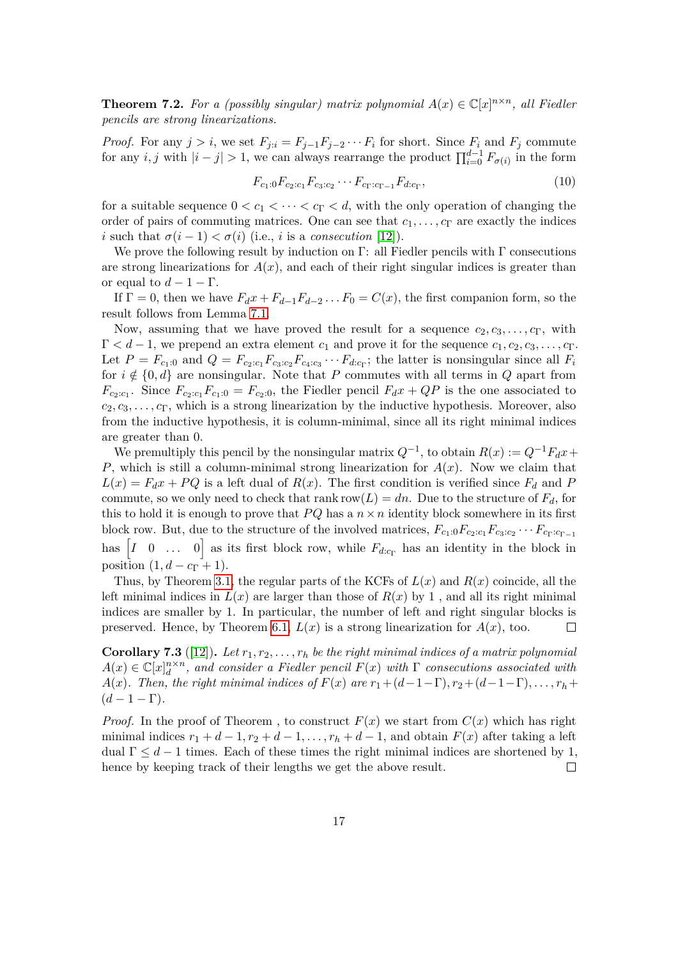**Theorem 7.2.** For a (possibly singular) matrix polynomial  $A(x) \in \mathbb{C}[x]^{n \times n}$ , all Fiedler *pencils are strong linearizations.*

*Proof.* For any  $j > i$ , we set  $F_{j:i} = F_{j-1}F_{j-2} \cdots F_i$  for short. Since  $F_i$  and  $F_j$  commute for any *i, j* with  $|i-j| > 1$ , we can always rearrange the product  $\prod_{i=0}^{d-1} F_{\sigma(i)}$  in the form

<span id="page-16-1"></span>
$$
F_{c_1:0}F_{c_2:c_1}F_{c_3:c_2}\cdots F_{c_{\Gamma}:c_{\Gamma-1}}F_{d:c_{\Gamma}},\tag{10}
$$

for a suitable sequence  $0 < c_1 < \cdots < c_{\Gamma} < d$ , with the only operation of changing the order of pairs of commuting matrices. One can see that  $c_1, \ldots, c_{\Gamma}$  are exactly the indices *i* such that  $\sigma(i-1) < \sigma(i)$  (i.e., *i* is a *consecution* [\[12\]](#page-25-10)).

We prove the following result by induction on  $\Gamma$ : all Fiedler pencils with  $\Gamma$  consecutions are strong linearizations for  $A(x)$ , and each of their right singular indices is greater than or equal to  $d-1-\Gamma$ .

If  $\Gamma = 0$ , then we have  $F_d x + F_{d-1} F_{d-2} \ldots F_0 = C(x)$ , the first companion form, so the result follows from Lemma [7.1.](#page-15-2)

Now, assuming that we have proved the result for a sequence  $c_2, c_3, \ldots, c_{\Gamma}$ , with  $\Gamma < d-1$ , we prepend an extra element  $c_1$  and prove it for the sequence  $c_1, c_2, c_3, \ldots, c_{\Gamma}$ . Let  $P = F_{c_1,0}$  and  $Q = F_{c_2,c_1}F_{c_3,c_2}F_{c_4,c_3}\cdots F_{d:c_{\Gamma}}$ ; the latter is nonsingular since all  $F_i$ for  $i \notin \{0, d\}$  are nonsingular. Note that *P* commutes with all terms in *Q* apart from  $F_{c_2:c_1}$ . Since  $F_{c_2:c_1}F_{c_1:0} = F_{c_2:0}$ , the Fiedler pencil  $F_dx + QP$  is the one associated to  $c_2, c_3, \ldots, c_{\Gamma}$ , which is a strong linearization by the inductive hypothesis. Moreover, also from the inductive hypothesis, it is column-minimal, since all its right minimal indices are greater than 0.

We premultiply this pencil by the nonsingular matrix  $Q^{-1}$ , to obtain  $R(x) := Q^{-1}F_d x +$ *P*, which is still a column-minimal strong linearization for  $A(x)$ . Now we claim that  $L(x) = F_d x + PQ$  is a left dual of  $R(x)$ . The first condition is verified since  $F_d$  and P commute, so we only need to check that rank row $(L) = dn$ . Due to the structure of  $F_d$ , for this to hold it is enough to prove that  $PQ$  has a  $n \times n$  identity block somewhere in its first block row. But, due to the structure of the involved matrices,  $F_{c_1:0}F_{c_2:c_1}F_{c_3:c_2}\cdots F_{c_{\Gamma}:c_{\Gamma-1}}$ has  $\begin{bmatrix} I & 0 & \dots & 0 \end{bmatrix}$  as its first block row, while  $F_{d:c_{\Gamma}}$  has an identity in the block in position  $(1, d - c_{\Gamma} + 1)$ .

Thus, by Theorem [3.1,](#page-4-1) the regular parts of the KCFs of  $L(x)$  and  $R(x)$  coincide, all the left minimal indices in  $L(x)$  are larger than those of  $R(x)$  by 1, and all its right minimal indices are smaller by 1. In particular, the number of left and right singular blocks is preserved. Hence, by Theorem [6.1,](#page-13-0)  $L(x)$  is a strong linearization for  $A(x)$ , too.  $\Box$ 

<span id="page-16-0"></span>**Corollary 7.3** ([\[12\]](#page-25-10)). Let  $r_1, r_2, \ldots, r_h$  be the right minimal indices of a matrix polynomial  $A(x) \in \mathbb{C}[x]_d^{n \times n}$ , and consider a Fiedler pencil  $F(x)$  with  $\Gamma$  consecutions associated with *A*(*x*)*.* Then, the right minimal indices of  $F(x)$  are  $r_1+(d-1-\Gamma), r_2+(d-1-\Gamma), \ldots, r_h+\Gamma$  $(d-1-\Gamma)$ .

*Proof.* In the proof of Theorem, to construct  $F(x)$  we start from  $C(x)$  which has right minimal indices  $r_1 + d - 1, r_2 + d - 1, \ldots, r_h + d - 1$ , and obtain  $F(x)$  after taking a left dual  $\Gamma \leq d-1$  times. Each of these times the right minimal indices are shortened by 1, hence by keeping track of their lengths we get the above result.  $\Box$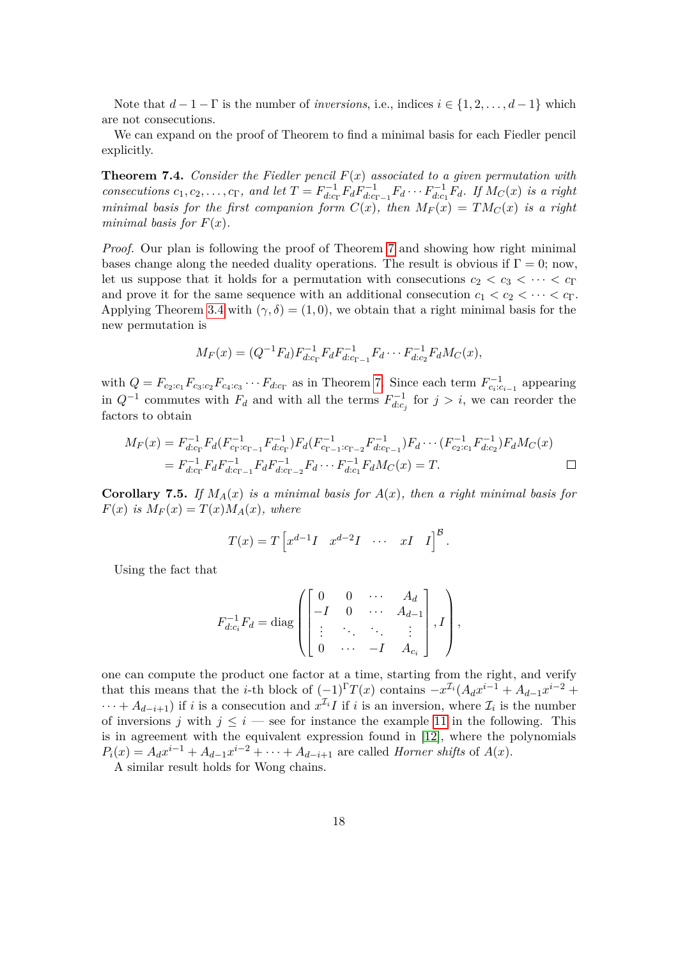Note that  $d-1-\Gamma$  is the number of *inversions*, i.e., indices  $i \in \{1, 2, ..., d-1\}$  which are not consecutions.

We can expand on the proof of Theorem to find a minimal basis for each Fiedler pencil explicitly.

<span id="page-17-0"></span>**Theorem 7.4.** *Consider the Fiedler pencil F*(*x*) *associated to a given permutation with consecutions*  $c_1, c_2, \ldots, c_{\Gamma}$ *, and let*  $T = F_{d,c}^{-1}$ *d*:*c*<sup>Γ</sup> *FdF −*1 *d*:*c*<sub>Γ−1</sub></sub>  $F_d \cdots F_{d:c}^{-1}$  $\int_{d:c_1}^{c-1} F_d$ *.* If  $M_C(x)$  is a right *minimal basis for the first companion form*  $C(x)$ *, then*  $M_F(x) = TM_C(x)$  *is a right minimal basis for*  $F(x)$ *.* 

*Proof.* Our plan is following the proof of Theorem [7](#page-16-0) and showing how right minimal bases change along the needed duality operations. The result is obvious if  $\Gamma = 0$ ; now, let us suppose that it holds for a permutation with consecutions  $c_2 < c_3 < \cdots < c_{\Gamma}$ and prove it for the same sequence with an additional consecution  $c_1 < c_2 < \cdots < c_{\Gamma}$ . Applying Theorem [3.4](#page-6-0) with  $(\gamma, \delta) = (1, 0)$ , we obtain that a right minimal basis for the new permutation is

$$
M_F(x) = (Q^{-1}F_d)F_{d:c_{\Gamma}}^{-1}F_dF_{d:c_{\Gamma-1}}^{-1}F_d \cdots F_{d:c_2}^{-1}F_dM_C(x),
$$

with  $Q = F_{c_2:c_1}F_{c_3:c_2}F_{c_4:c_3}\cdots F_{d:c_{\Gamma}}$  as in Theorem [7.](#page-16-0) Since each term  $F_{c_i:c_{i-1}}^{-1}$  appearing in  $Q^{-1}$  commutes with  $F_d$  and with all the terms  $F_{d,c}^{-1}$  $\int_{d:c_j}^{r-1}$  for  $j > i$ , we can reorder the factors to obtain

$$
M_F(x) = F_{d:c_{\Gamma}}^{-1} F_d(F_{c_{\Gamma}:c_{\Gamma-1}}^{-1} F_{d:c_{\Gamma}}^{-1}) F_d(F_{c_{\Gamma-1}:c_{\Gamma-2}}^{-1} F_{d:c_{\Gamma-1}}^{-1}) F_d \cdots (F_{c_2:c_1}^{-1} F_{d:c_2}^{-1}) F_d M_C(x)
$$
  
=  $F_{d:c_{\Gamma}}^{-1} F_d F_{d:c_{\Gamma-1}}^{-1} F_d F_{d:c_{\Gamma-2}}^{-1} F_d \cdots F_{d:c_1}^{-1} F_d M_C(x) = T.$ 

<span id="page-17-1"></span>**Corollary 7.5.** If  $M_A(x)$  is a minimal basis for  $A(x)$ , then a right minimal basis for  $F(x)$  *is*  $M_F(x) = T(x)M_A(x)$ *, where* 

$$
T(x) = T\left[x^{d-1}I \quad x^{d-2}I \quad \cdots \quad xI \quad I\right]^{\mathcal{B}}.
$$

Using the fact that

$$
F_{d:c_i}^{-1}F_d = \text{diag}\left(\begin{bmatrix} 0 & 0 & \cdots & A_d \\ -I & 0 & \cdots & A_{d-1} \\ \vdots & \ddots & \ddots & \vdots \\ 0 & \cdots & -I & A_{c_i} \end{bmatrix}, I\right),
$$

one can compute the product one factor at a time, starting from the right, and verify that this means that the *i*-th block of  $(-1)^{\Gamma}T(x)$  contains  $-x^{\mathcal{I}_i}(A_d x^{i-1} + A_{d-1}x^{i-2} +$  $\cdots + A_{d-i+1}$  if *i* is a consecution and  $x^{\mathcal{I}_i}I$  if *i* is an inversion, where  $\mathcal{I}_i$  is the number of inversions *j* with  $j \leq i$  — see for instance the example [11](#page-18-0) in the following. This is in agreement with the equivalent expression found in [\[12\]](#page-25-10), where the polynomials  $P_i(x) = A_d x^{i-1} + A_{d-1} x^{i-2} + \cdots + A_{d-i+1}$  are called *Horner shifts* of  $A(x)$ .

A similar result holds for Wong chains.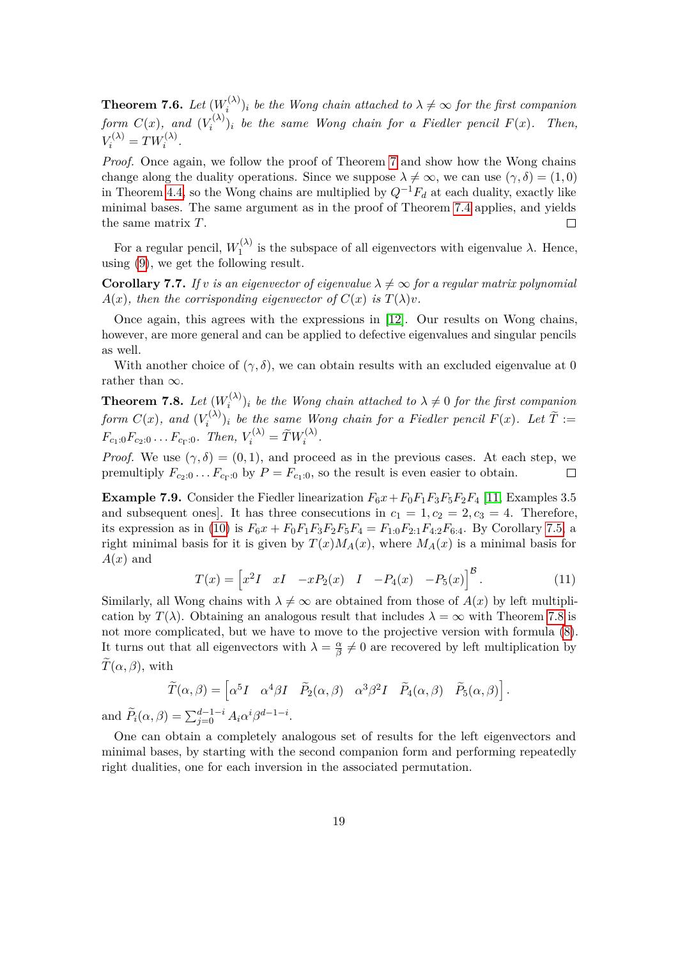**Theorem 7.6.** *Let*  $(W_i^{(\lambda)}$  $\hat{a}^{(\lambda)}_i$  *be the Wong chain attached to*  $\lambda \neq \infty$  *for the first companion form*  $C(x)$ *, and*  $(V_i^{(\lambda)}$  $\binom{n}{i}$  *i be the same Wong chain for a Fiedler pencil*  $F(x)$ *. Then,*  $V_i^{(\lambda)} = TW_i^{(\lambda)}$ .

*Proof.* Once again, we follow the proof of Theorem [7](#page-16-0) and show how the Wong chains change along the duality operations. Since we suppose  $\lambda \neq \infty$ , we can use  $(\gamma, \delta) = (1, 0)$ in Theorem [4.4,](#page-9-0) so the Wong chains are multiplied by  $Q^{-1}F_d$  at each duality, exactly like minimal bases. The same argument as in the proof of Theorem [7.4](#page-17-0) applies, and yields the same matrix *T*.  $\Box$ 

For a regular pencil,  $W_1^{(\lambda)}$  $I_1^{\left(\lambda\right)}$  is the subspace of all eigenvectors with eigenvalue  $\lambda$ . Hence, using [\(9\)](#page-15-3), we get the following result.

**Corollary 7.7.** If *v* is an eigenvector of eigenvalue  $\lambda \neq \infty$  for a regular matrix polynomial  $A(x)$ *, then the corrisponding eigenvector of*  $C(x)$  *is*  $T(\lambda)v$ *.* 

Once again, this agrees with the expressions in [\[12\]](#page-25-10). Our results on Wong chains, however, are more general and can be applied to defective eigenvalues and singular pencils as well.

With another choice of  $(\gamma, \delta)$ , we can obtain results with an excluded eigenvalue at 0 rather than *∞*.

<span id="page-18-1"></span>**Theorem 7.8.** *Let*  $(W_i^{(\lambda)}$  $\hat{I}_i^{(\lambda)}$ <sub>*i*</sub> *be the Wong chain attached to*  $\lambda \neq 0$  *for the first companion form*  $C(x)$ *, and*  $(V_i^{(\lambda)}$  $\sum_i^{(N)}(x_i)$  be the same Wong chain for a Fiedler pencil  $F(x)$ . Let  $T :=$  $F_{c_1:0}F_{c_2:0}\ldots F_{c_{\Gamma}:0}$ *. Then,*  $V_i^{(\lambda)} = \widetilde{T}W_i^{(\lambda)}$ *.* 

*Proof.* We use  $(\gamma, \delta) = (0, 1)$ , and proceed as in the previous cases. At each step, we premultiply  $F_{c_2:0}$ ...  $F_{c_1:0}$  by  $P = F_{c_1:0}$ , so the result is even easier to obtain.  $\Box$ 

**Example 7.9.** Consider the Fiedler linearization  $F_6x + F_0F_1F_3F_5F_2F_4$  [\[11,](#page-25-9) Examples 3.5] and subsequent ones. It has three consecutions in  $c_1 = 1, c_2 = 2, c_3 = 4$ . Therefore, its expression as in [\(10\)](#page-16-1) is  $F_6x + F_0F_1F_3F_2F_5F_4 = F_{1:0}F_{2:1}F_{4:2}F_{6:4}$ . By Corollary [7.5,](#page-17-1) a right minimal basis for it is given by  $T(x)M_A(x)$ , where  $M_A(x)$  is a minimal basis for *A*(*x*) and

<span id="page-18-0"></span>
$$
T(x) = \begin{bmatrix} x^2 I & xI & -xP_2(x) & I & -P_4(x) & -P_5(x) \end{bmatrix}^{\mathcal{B}}.
$$
 (11)

Similarly, all Wong chains with  $\lambda \neq \infty$  are obtained from those of  $A(x)$  by left multiplication by  $T(\lambda)$ . Obtaining an analogous result that includes  $\lambda = \infty$  with Theorem [7.8](#page-18-1) is not more complicated, but we have to move to the projective version with formula [\(8\)](#page-15-4). It turns out that all eigenvectors with  $\lambda = \frac{\alpha}{\beta}$  $\frac{\alpha}{\beta} \neq 0$  are recovered by left multiplication by  $\widetilde{T}(\alpha,\beta)$ , with

$$
\widetilde{T}(\alpha,\beta) = \begin{bmatrix} \alpha^5 I & \alpha^4 \beta I & \widetilde{P}_2(\alpha,\beta) & \alpha^3 \beta^2 I & \widetilde{P}_4(\alpha,\beta) & \widetilde{P}_5(\alpha,\beta) \end{bmatrix}.
$$
\n
$$
\beta) = \sum_{i=0}^{d-1-i} A_i \alpha^i \beta^{d-1-i}.
$$

and  $\widetilde{P}_i(\alpha, \beta) = \sum_{j=0}^{d-1-i}$  $\sum_{i=0}^{\infty}$ *iβ*

One can obtain a completely analogous set of results for the left eigenvectors and minimal bases, by starting with the second companion form and performing repeatedly right dualities, one for each inversion in the associated permutation.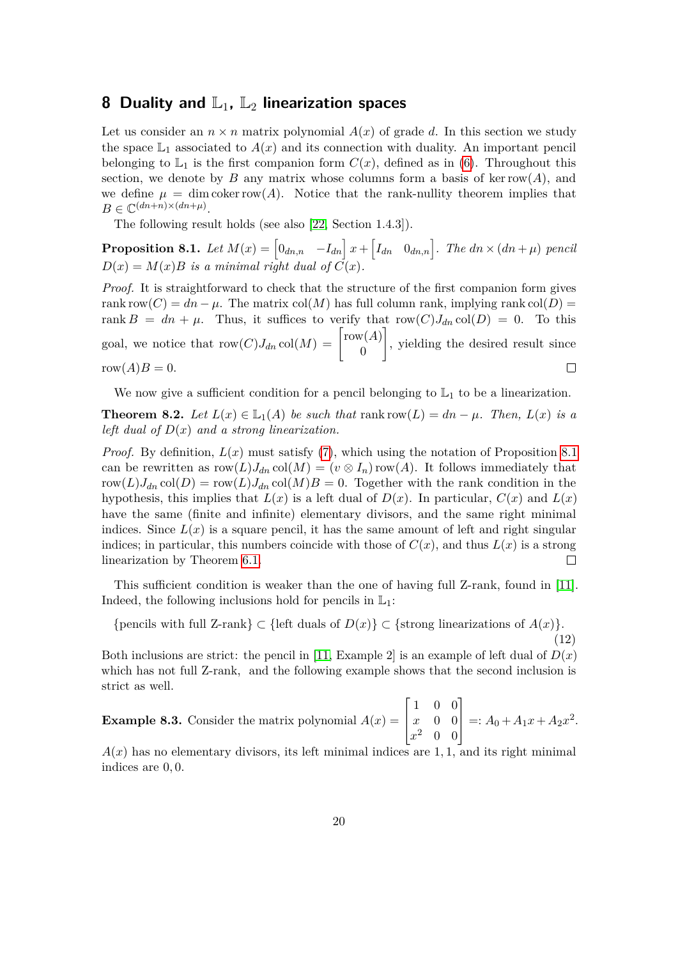### <span id="page-19-0"></span>**8 Duality and**  $\mathbb{L}_1$ **,**  $\mathbb{L}_2$  **linearization spaces**

Let us consider an  $n \times n$  matrix polynomial  $A(x)$  of grade d. In this section we study the space  $\mathbb{L}_1$  associated to  $A(x)$  and its connection with duality. An important pencil belonging to  $\mathbb{L}_1$  is the first companion form  $C(x)$ , defined as in [\(6\)](#page-14-2). Throughout this section, we denote by *B* any matrix whose columns form a basis of ker row(*A*), and we define  $\mu = \dim \text{coker} \, \text{row}(A)$ . Notice that the rank-nullity theorem implies that  $B \in \mathbb{C}^{(dn+n)\times (dn+\mu)}$ .

The following result holds (see also [\[22,](#page-26-0) Section 1.4.3]).

<span id="page-19-1"></span>**Proposition 8.1.** Let  $M(x) = \begin{bmatrix} 0_{dn,n} & -I_{dn} \end{bmatrix} x + \begin{bmatrix} I_{dn} & 0_{dn,n} \end{bmatrix}$ . The  $dn \times (dn + \mu)$  pencil  $D(x) = M(x)B$  *is a minimal right dual of*  $C(x)$ *.* 

*Proof.* It is straightforward to check that the structure of the first companion form gives rank row $(C) = dn - \mu$ . The matrix col(*M*) has full column rank, implying rank col(*D*) = rank  $B = dn + \mu$ . Thus, it suffices to verify that row $(C)J_{dn} \text{col}(D) = 0$ . To this goal, we notice that  $row(C)J_{dn} \text{col}(M) = \begin{bmatrix} row(A) \\ 0 \end{bmatrix}$ 1 , yielding the desired result since 0  $row(A)B = 0.$  $\Box$ 

We now give a sufficient condition for a pencil belonging to  $\mathbb{L}_1$  to be a linearization.

<span id="page-19-3"></span>**Theorem 8.2.** *Let*  $L(x) \in L_1(A)$  *be such that* rank row $(L) = dn - \mu$ *. Then,*  $L(x)$  *is a left dual of D*(*x*) *and a strong linearization.*

*Proof.* By definition,  $L(x)$  must satisfy [\(7\)](#page-14-1), which using the notation of Proposition [8.1](#page-19-1) can be rewritten as  $row(L)J_{dn}col(M) = (v \otimes I_n)row(A)$ . It follows immediately that row $(L)J_{dn}$  col $(D)$  = row $(L)J_{dn}$  col $(M)B = 0$ . Together with the rank condition in the hypothesis, this implies that  $L(x)$  is a left dual of  $D(x)$ . In particular,  $C(x)$  and  $L(x)$ have the same (finite and infinite) elementary divisors, and the same right minimal indices. Since  $L(x)$  is a square pencil, it has the same amount of left and right singular indices; in particular, this numbers coincide with those of  $C(x)$ , and thus  $L(x)$  is a strong linearization by Theorem [6.1.](#page-13-0)  $\Box$ 

This sufficient condition is weaker than the one of having full Z-rank, found in [\[11\]](#page-25-9). Indeed, the following inclusions hold for pencils in  $\mathbb{L}_1$ :

<span id="page-19-2"></span>*{*pencils with full Z-rank*} ⊂ {*left duals of *D*(*x*)*} ⊂ {*strong linearizations of *A*(*x*)*}.* (12)

Both inclusions are strict: the pencil in [\[11,](#page-25-9) Example 2] is an example of left dual of  $D(x)$ which has not full Z-rank, and the following example shows that the second inclusion is strict as well.

**Example 8.3.** Consider the matrix polynomial  $A(x) =$  $\sqrt{ }$  $\overline{\phantom{a}}$ 1 0 0 *x* 0 0 *x* <sup>2</sup> 0 0 1  $=: A_0 + A_1x + A_2x^2.$ 

 $A(x)$  has no elementary divisors, its left minimal indices are 1, 1, and its right minimal indices are 0*,* 0.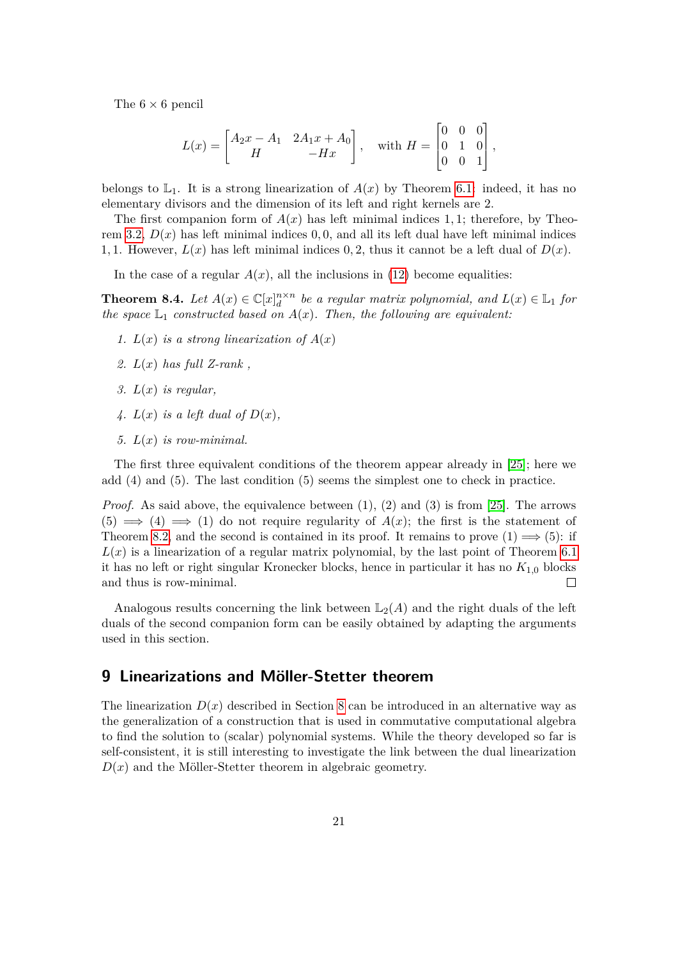The 6 *×* 6 pencil

$$
L(x) = \begin{bmatrix} A_2x - A_1 & 2A_1x + A_0 \ A & -Hx \end{bmatrix}, \text{ with } H = \begin{bmatrix} 0 & 0 & 0 \ 0 & 1 & 0 \ 0 & 0 & 1 \end{bmatrix},
$$

belongs to  $\mathbb{L}_1$ . It is a strong linearization of  $A(x)$  by Theorem [6.1:](#page-13-0) indeed, it has no elementary divisors and the dimension of its left and right kernels are 2.

The first companion form of  $A(x)$  has left minimal indices 1, 1; therefore, by Theo-rem [3.2,](#page-5-2)  $D(x)$  has left minimal indices 0,0, and all its left dual have left minimal indices 1, 1. However,  $L(x)$  has left minimal indices 0, 2, thus it cannot be a left dual of  $D(x)$ .

In the case of a regular  $A(x)$ , all the inclusions in [\(12\)](#page-19-2) become equalities:

**Theorem 8.4.** *Let*  $A(x) \in \mathbb{C}[x]_d^{n \times n}$  *be a regular matrix polynomial, and*  $L(x) \in \mathbb{L}_1$  *for the space*  $\mathbb{L}_1$  *constructed based on*  $A(x)$ *. Then, the following are equivalent:* 

- 1.  $L(x)$  *is a strong linearization of*  $A(x)$
- *2. L*(*x*) *has full Z-rank ,*
- *3. L*(*x*) *is regular,*
- 4.  $L(x)$  *is a left dual of*  $D(x)$ ,
- *5. L*(*x*) *is row-minimal.*

The first three equivalent conditions of the theorem appear already in [\[25\]](#page-26-2); here we add (4) and (5). The last condition (5) seems the simplest one to check in practice.

*Proof.* As said above, the equivalence between  $(1)$ ,  $(2)$  and  $(3)$  is from [\[25\]](#page-26-2). The arrows  $(5) \implies (4) \implies (1)$  do not require regularity of  $A(x)$ ; the first is the statement of Theorem [8.2,](#page-19-3) and the second is contained in its proof. It remains to prove  $(1) \implies (5)$ : if  $L(x)$  is a linearization of a regular matrix polynomial, by the last point of Theorem [6.1](#page-13-0) it has no left or right singular Kronecker blocks, hence in particular it has no  $K_{1,0}$  blocks and thus is row-minimal.  $\Box$ 

Analogous results concerning the link between  $\mathbb{L}_2(A)$  and the right duals of the left duals of the second companion form can be easily obtained by adapting the arguments used in this section.

# <span id="page-20-0"></span>**9 Linearizations and Möller-Stetter theorem**

The linearization  $D(x)$  described in Section [8](#page-19-0) can be introduced in an alternative way as the generalization of a construction that is used in commutative computational algebra to find the solution to (scalar) polynomial systems. While the theory developed so far is self-consistent, it is still interesting to investigate the link between the dual linearization  $D(x)$  and the Möller-Stetter theorem in algebraic geometry.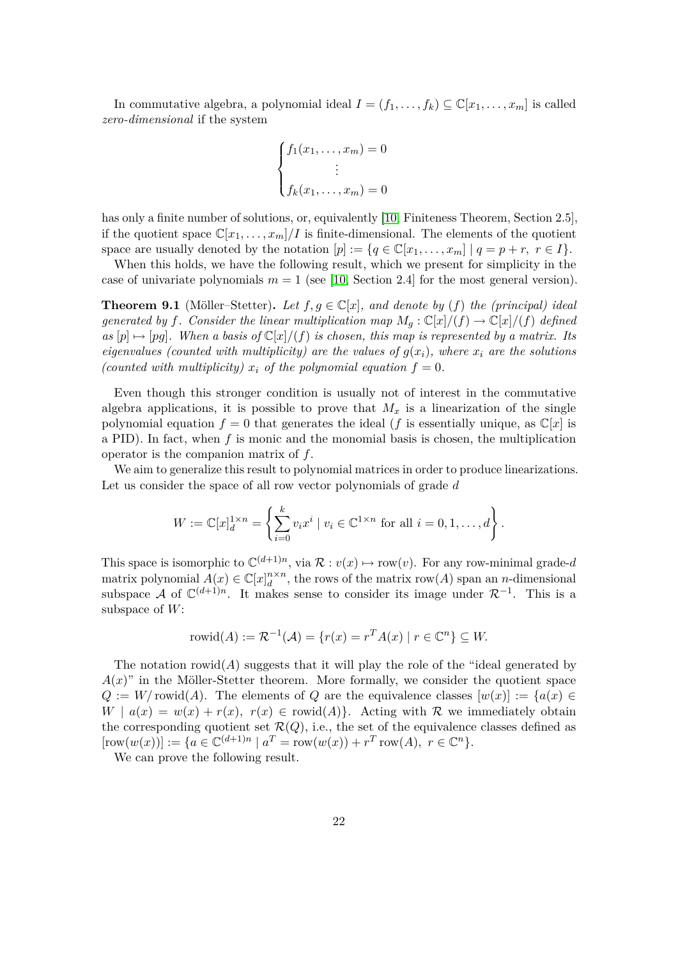In commutative algebra, a polynomial ideal  $I = (f_1, \ldots, f_k) \subseteq \mathbb{C}[x_1, \ldots, x_m]$  is called *zero-dimensional* if the system

$$
\begin{cases}\nf_1(x_1,\ldots,x_m) = 0 \\
\vdots \\
f_k(x_1,\ldots,x_m) = 0\n\end{cases}
$$

has only a finite number of solutions, or, equivalently [\[10,](#page-25-12) Finiteness Theorem, Section 2.5], if the quotient space  $\mathbb{C}[x_1,\ldots,x_m]/I$  is finite-dimensional. The elements of the quotient space are usually denoted by the notation  $[p] := \{q \in \mathbb{C}[x_1, \ldots, x_m] \mid q = p + r, r \in I\}.$ 

When this holds, we have the following result, which we present for simplicity in the case of univariate polynomials  $m = 1$  (see [\[10,](#page-25-12) Section 2.4] for the most general version).

**Theorem 9.1** (Möller–Stetter). Let  $f, g \in \mathbb{C}[x]$ , and denote by (f) the (principal) ideal *generated by f.* Consider the linear multiplication map  $M_g : \mathbb{C}[x]/(f) \rightarrow \mathbb{C}[x]/(f)$  *defined*  $as [p] \mapsto [pg]$ . When a basis of  $\mathbb{C}[x]/(f)$  is chosen, this map is represented by a matrix. Its *eigenvalues (counted with multiplicity) are the values of*  $g(x_i)$ *, where*  $x_i$  *are the solutions (counted with multiplicity)*  $x_i$  *of the polynomial equation*  $f = 0$ *.* 

Even though this stronger condition is usually not of interest in the commutative algebra applications, it is possible to prove that  $M_x$  is a linearization of the single polynomial equation  $f = 0$  that generates the ideal (*f* is essentially unique, as  $\mathbb{C}[x]$  is a PID). In fact, when *f* is monic and the monomial basis is chosen, the multiplication operator is the companion matrix of *f*.

We aim to generalize this result to polynomial matrices in order to produce linearizations. Let us consider the space of all row vector polynomials of grade *d*

$$
W := \mathbb{C}[x]_d^{1 \times n} = \left\{ \sum_{i=0}^k v_i x^i \mid v_i \in \mathbb{C}^{1 \times n} \text{ for all } i = 0, 1, ..., d \right\}.
$$

This space is isomorphic to  $\mathbb{C}^{(d+1)n}$ , via  $\mathcal{R}: v(x) \mapsto \text{row}(v)$ . For any row-minimal grade-*d* matrix polynomial  $A(x) \in \mathbb{C}[x]_d^{n \times n}$ , the rows of the matrix row(*A*) span an *n*-dimensional subspace *A* of  $\mathbb{C}^{(d+1)n}$ . It makes sense to consider its image under  $\mathcal{R}^{-1}$ . This is a subspace of *W*:

$$
rowid(A) := \mathcal{R}^{-1}(\mathcal{A}) = \{r(x) = r^T A(x) \mid r \in \mathbb{C}^n\} \subseteq W.
$$

The notation rowid( $A$ ) suggests that it will play the role of the "ideal generated by  $A(x)$ " in the Möller-Stetter theorem. More formally, we consider the quotient space  $Q := W/\text{rowid}(A)$ . The elements of  $Q$  are the equivalence classes  $[w(x)] := \{a(x) \in$  $W \mid a(x) = w(x) + r(x), r(x) \in \text{rowid}(A)$ . Acting with R we immediately obtain the corresponding quotient set  $\mathcal{R}(Q)$ , i.e., the set of the equivalence classes defined as  $[\text{row}(w(x))] := \{ a \in \mathbb{C}^{(d+1)n} \mid a^T = \text{row}(w(x)) + r^T \text{row}(A), r \in \mathbb{C}^n \}.$ 

<span id="page-21-0"></span>We can prove the following result.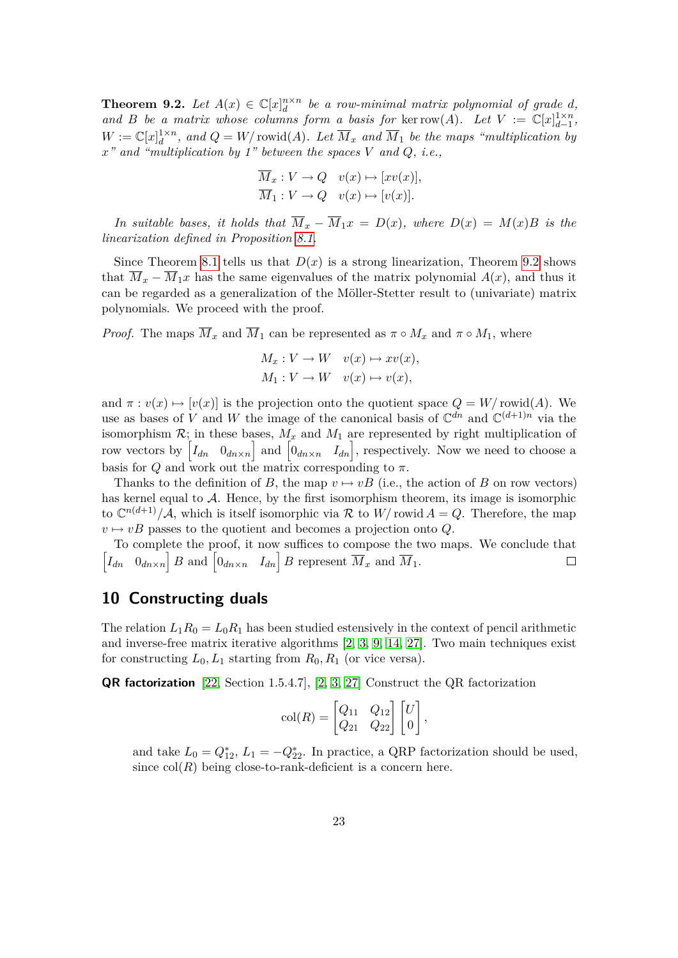**Theorem 9.2.** Let  $A(x) \in \mathbb{C}[x]_d^{n \times n}$  be a row-minimal matrix polynomial of grade *d*, *and B be a matrix whose columns form a basis for* ker row(*A*)*.* Let  $V := \mathbb{C}[x]_{d-1}^{1 \times n}$ ,  $W := \mathbb{C}[x]_d^{1 \times n}$ , and  $Q = W/\text{rowid}(A)$ . Let  $\overline{M}_x$  and  $\overline{M}_1$  be the maps "multiplication by *x" and "multiplication by 1" between the spaces V and Q, i.e.,*

$$
\overline{M}_x : V \to Q \quad v(x) \mapsto [xv(x)],
$$
  

$$
\overline{M}_1 : V \to Q \quad v(x) \mapsto [v(x)].
$$

*In suitable bases, it holds that*  $\overline{M}_x - \overline{M}_1 x = D(x)$ *, where*  $D(x) = M(x)B$  *is the linearization defined in Proposition [8.1.](#page-19-1)*

Since Theorem [8.1](#page-19-1) tells us that  $D(x)$  is a strong linearization, Theorem [9.2](#page-21-0) shows that  $M_x - M_1x$  has the same eigenvalues of the matrix polynomial  $A(x)$ , and thus it can be regarded as a generalization of the Möller-Stetter result to (univariate) matrix polynomials. We proceed with the proof.

*Proof.* The maps  $\overline{M}_x$  and  $\overline{M}_1$  can be represented as  $\pi \circ M_x$  and  $\pi \circ M_1$ , where

$$
M_x: V \to W \quad v(x) \mapsto xv(x),
$$
  

$$
M_1: V \to W \quad v(x) \mapsto v(x),
$$

and  $\pi : v(x) \mapsto [v(x)]$  is the projection onto the quotient space  $Q = W/\text{rowid}(A)$ . We use as bases of *V* and *W* the image of the canonical basis of  $\mathbb{C}^{dn}$  and  $\mathbb{C}^{(d+1)n}$  via the isomorphism  $\mathcal{R}$ ; in these bases,  $M_x$  and  $M_1$  are represented by right multiplication of row vectors by  $\begin{bmatrix} I_{dn} & 0_{dn\times n} \end{bmatrix}$  and  $\begin{bmatrix} 0_{dn\times n} & I_{dn} \end{bmatrix}$ , respectively. Now we need to choose a basis for  $Q$  and work out the matrix corresponding to  $\pi$ .

Thanks to the definition of *B*, the map  $v \mapsto vB$  (i.e., the action of *B* on row vectors) has kernel equal to A. Hence, by the first isomorphism theorem, its image is isomorphic to  $\mathbb{C}^{n(d+1)}/\mathcal{A}$ , which is itself isomorphic via R to  $W$  rowid  $A = Q$ . Therefore, the map  $v \mapsto vB$  passes to the quotient and becomes a projection onto *Q*.

To complete the proof, it now suffices to compose the two maps. We conclude that  $\left[I_{dn} \quad 0_{dn \times n}\right] B$  and  $\left[0_{dn \times n} \quad I_{dn}\right] B$  represent  $\overline{M}_x$  and  $\overline{M}_1$ .  $\Box$ 

# <span id="page-22-0"></span>**10 Constructing duals**

The relation  $L_1R_0 = L_0R_1$  has been studied estensively in the context of pencil arithmetic and inverse-free matrix iterative algorithms [\[2,](#page-24-0) [3,](#page-24-1) [9,](#page-25-1) [14,](#page-25-13) [27\]](#page-26-1). Two main techniques exist for constructing  $L_0, L_1$  starting from  $R_0, R_1$  (or vice versa).

**QR factorization** [\[22,](#page-26-0) Section 1.5.4.7], [\[2,](#page-24-0) [3,](#page-24-1) [27\]](#page-26-1) Construct the QR factorization

$$
col(R) = \begin{bmatrix} Q_{11} & Q_{12} \\ Q_{21} & Q_{22} \end{bmatrix} \begin{bmatrix} U \\ 0 \end{bmatrix},
$$

and take  $L_0 = Q_{12}^*$ ,  $L_1 = -Q_{22}^*$ . In practice, a QRP factorization should be used, since  $col(R)$  being close-to-rank-deficient is a concern here.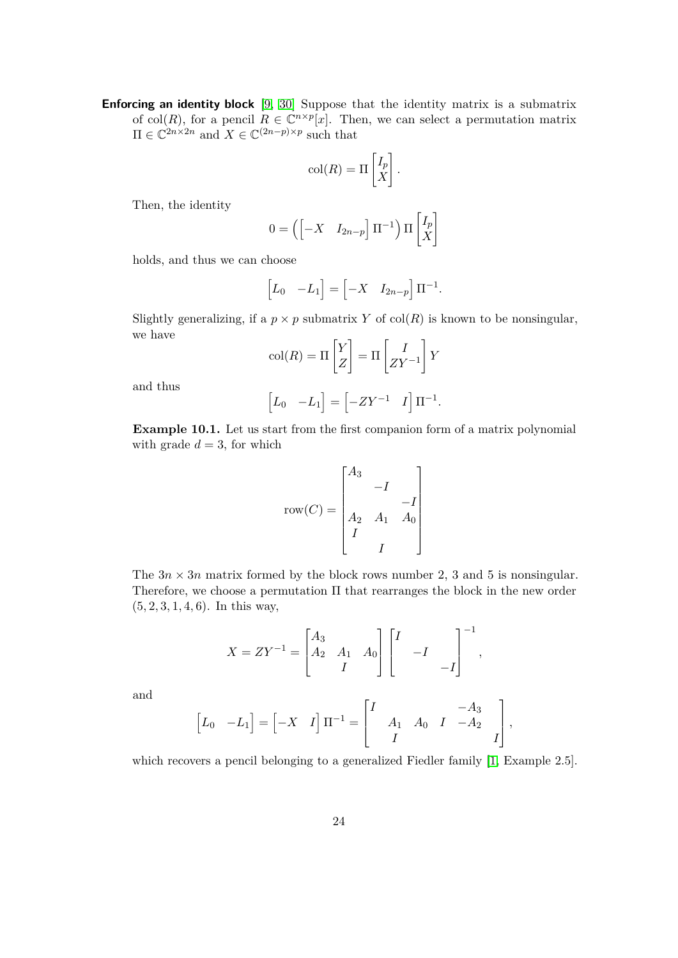**Enforcing an identity block** [\[9,](#page-25-1) [30\]](#page-26-13) Suppose that the identity matrix is a submatrix of col(*R*), for a pencil  $R \in \mathbb{C}^{n \times p}[x]$ . Then, we can select a permutation matrix  $\Pi \in \mathbb{C}^{2n \times 2n}$  and  $X \in \mathbb{C}^{(2n-p)\times p}$  such that

$$
col(R) = \Pi \begin{bmatrix} I_p \\ X \end{bmatrix}.
$$

Then, the identity

$$
0 = \left( \begin{bmatrix} -X & I_{2n-p} \end{bmatrix} \Pi^{-1} \right) \Pi \begin{bmatrix} I_p \\ X \end{bmatrix}
$$

holds, and thus we can choose

$$
\begin{bmatrix} L_0 & -L_1 \end{bmatrix} = \begin{bmatrix} -X & I_{2n-p} \end{bmatrix} \Pi^{-1}.
$$

Slightly generalizing, if a  $p \times p$  submatrix *Y* of col(*R*) is known to be nonsingular, we have

$$
col(R) = \Pi \begin{bmatrix} Y \\ Z \end{bmatrix} = \Pi \begin{bmatrix} I \\ ZY^{-1} \end{bmatrix} Y
$$

and thus

$$
\begin{bmatrix} L_0 & -L_1 \end{bmatrix} = \begin{bmatrix} -ZY^{-1} & I \end{bmatrix} \Pi^{-1}.
$$

**Example 10.1.** Let us start from the first companion form of a matrix polynomial with grade  $d = 3$ , for which

$$
row(C) = \begin{bmatrix} A_3 & & & \\ & -I & & \\ A_2 & A_1 & A_0 \\ I & & & \\ & I & & \end{bmatrix}
$$

The  $3n \times 3n$  matrix formed by the block rows number 2, 3 and 5 is nonsingular. Therefore, we choose a permutation Π that rearranges the block in the new order (5*,* 2*,* 3*,* 1*,* 4*,* 6). In this way,

$$
X = ZY^{-1} = \begin{bmatrix} A_3 & A_1 & A_0 \ A_2 & A_1 & A_0 \ I & & -I \end{bmatrix} \begin{bmatrix} I & & \\ & -I & \\ & & -I \end{bmatrix}^{-1},
$$

and

$$
\begin{bmatrix} L_0 & -L_1 \end{bmatrix} = \begin{bmatrix} -X & I \end{bmatrix} \Pi^{-1} = \begin{bmatrix} I & & & -A_3 & & \\ & A_1 & A_0 & I & -A_2 & \\ & I & & & I \end{bmatrix},
$$

which recovers a pencil belonging to a generalized Fiedler family [\[1,](#page-24-6) Example 2.5].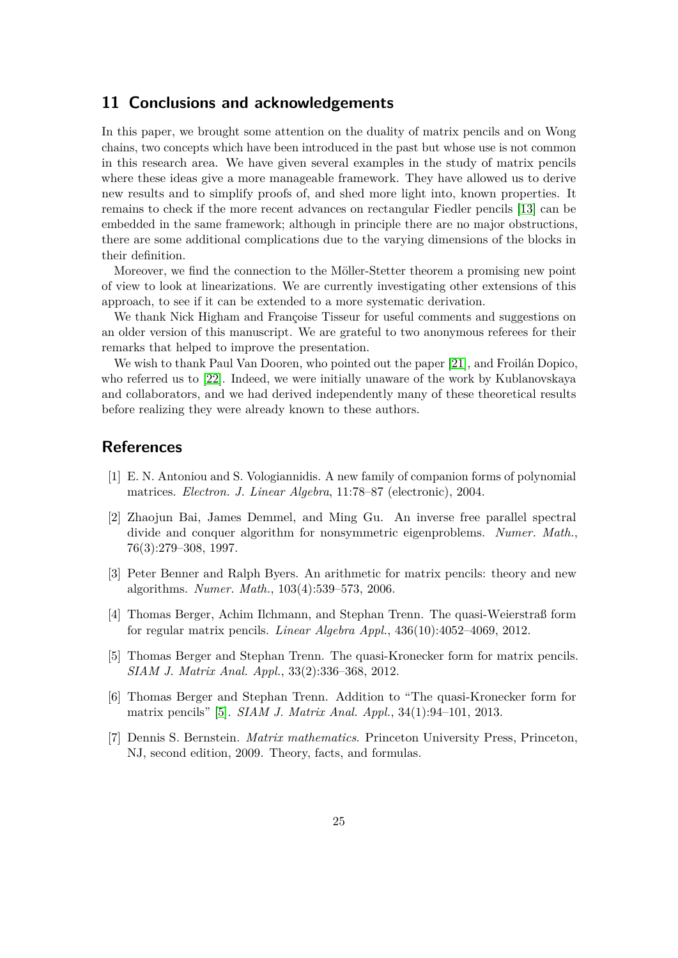# **11 Conclusions and acknowledgements**

In this paper, we brought some attention on the duality of matrix pencils and on Wong chains, two concepts which have been introduced in the past but whose use is not common in this research area. We have given several examples in the study of matrix pencils where these ideas give a more manageable framework. They have allowed us to derive new results and to simplify proofs of, and shed more light into, known properties. It remains to check if the more recent advances on rectangular Fiedler pencils [\[13\]](#page-25-11) can be embedded in the same framework; although in principle there are no major obstructions, there are some additional complications due to the varying dimensions of the blocks in their definition.

Moreover, we find the connection to the Möller-Stetter theorem a promising new point of view to look at linearizations. We are currently investigating other extensions of this approach, to see if it can be extended to a more systematic derivation.

We thank Nick Higham and Françoise Tisseur for useful comments and suggestions on an older version of this manuscript. We are grateful to two anonymous referees for their remarks that helped to improve the presentation.

We wish to thank Paul Van Dooren, who pointed out the paper [\[21\]](#page-25-4), and Froilán Dopico, who referred us to [\[22\]](#page-26-0). Indeed, we were initially unaware of the work by Kublanovskaya and collaborators, and we had derived independently many of these theoretical results before realizing they were already known to these authors.

### **References**

- <span id="page-24-6"></span>[1] E. N. Antoniou and S. Vologiannidis. A new family of companion forms of polynomial matrices. *Electron. J. Linear Algebra*, 11:78–87 (electronic), 2004.
- <span id="page-24-0"></span>[2] Zhaojun Bai, James Demmel, and Ming Gu. An inverse free parallel spectral divide and conquer algorithm for nonsymmetric eigenproblems. *Numer. Math.*, 76(3):279–308, 1997.
- <span id="page-24-1"></span>[3] Peter Benner and Ralph Byers. An arithmetic for matrix pencils: theory and new algorithms. *Numer. Math.*, 103(4):539–573, 2006.
- <span id="page-24-3"></span>[4] Thomas Berger, Achim Ilchmann, and Stephan Trenn. The quasi-Weierstraß form for regular matrix pencils. *Linear Algebra Appl.*, 436(10):4052–4069, 2012.
- <span id="page-24-4"></span>[5] Thomas Berger and Stephan Trenn. The quasi-Kronecker form for matrix pencils. *SIAM J. Matrix Anal. Appl.*, 33(2):336–368, 2012.
- <span id="page-24-5"></span>[6] Thomas Berger and Stephan Trenn. Addition to "The quasi-Kronecker form for matrix pencils" [\[5\]](#page-24-4). *SIAM J. Matrix Anal. Appl.*, 34(1):94–101, 2013.
- <span id="page-24-2"></span>[7] Dennis S. Bernstein. *Matrix mathematics*. Princeton University Press, Princeton, NJ, second edition, 2009. Theory, facts, and formulas.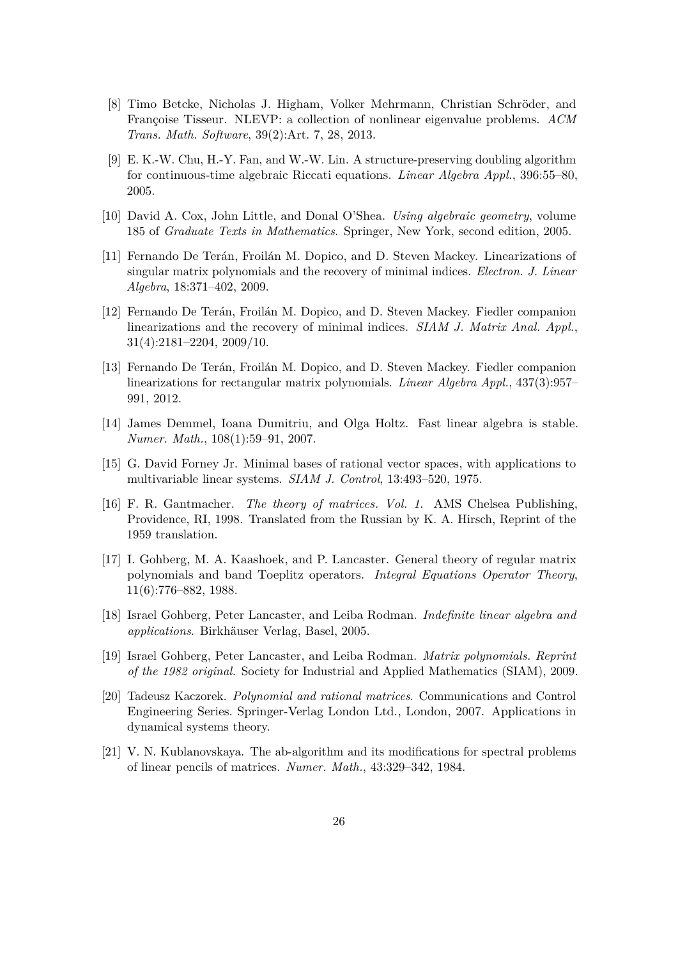- <span id="page-25-5"></span>[8] Timo Betcke, Nicholas J. Higham, Volker Mehrmann, Christian Schröder, and Françoise Tisseur. NLEVP: a collection of nonlinear eigenvalue problems. *ACM Trans. Math. Software*, 39(2):Art. 7, 28, 2013.
- <span id="page-25-1"></span>[9] E. K.-W. Chu, H.-Y. Fan, and W.-W. Lin. A structure-preserving doubling algorithm for continuous-time algebraic Riccati equations. *Linear Algebra Appl.*, 396:55–80, 2005.
- <span id="page-25-12"></span>[10] David A. Cox, John Little, and Donal O'Shea. *Using algebraic geometry*, volume 185 of *Graduate Texts in Mathematics*. Springer, New York, second edition, 2005.
- <span id="page-25-9"></span>[11] Fernando De Terán, Froilán M. Dopico, and D. Steven Mackey. Linearizations of singular matrix polynomials and the recovery of minimal indices. *Electron. J. Linear Algebra*, 18:371–402, 2009.
- <span id="page-25-10"></span>[12] Fernando De Terán, Froilán M. Dopico, and D. Steven Mackey. Fiedler companion linearizations and the recovery of minimal indices. *SIAM J. Matrix Anal. Appl.*, 31(4):2181–2204, 2009/10.
- <span id="page-25-11"></span>[13] Fernando De Terán, Froilán M. Dopico, and D. Steven Mackey. Fiedler companion linearizations for rectangular matrix polynomials. *Linear Algebra Appl.*, 437(3):957– 991, 2012.
- <span id="page-25-13"></span>[14] James Demmel, Ioana Dumitriu, and Olga Holtz. Fast linear algebra is stable. *Numer. Math.*, 108(1):59–91, 2007.
- <span id="page-25-3"></span>[15] G. David Forney Jr. Minimal bases of rational vector spaces, with applications to multivariable linear systems. *SIAM J. Control*, 13:493–520, 1975.
- <span id="page-25-0"></span>[16] F. R. Gantmacher. *The theory of matrices. Vol. 1*. AMS Chelsea Publishing, Providence, RI, 1998. Translated from the Russian by K. A. Hirsch, Reprint of the 1959 translation.
- <span id="page-25-8"></span>[17] I. Gohberg, M. A. Kaashoek, and P. Lancaster. General theory of regular matrix polynomials and band Toeplitz operators. *Integral Equations Operator Theory*, 11(6):776–882, 1988.
- <span id="page-25-6"></span>[18] Israel Gohberg, Peter Lancaster, and Leiba Rodman. *Indefinite linear algebra and applications*. Birkhäuser Verlag, Basel, 2005.
- <span id="page-25-2"></span>[19] Israel Gohberg, Peter Lancaster, and Leiba Rodman. *Matrix polynomials. Reprint of the 1982 original.* Society for Industrial and Applied Mathematics (SIAM), 2009.
- <span id="page-25-7"></span>[20] Tadeusz Kaczorek. *Polynomial and rational matrices*. Communications and Control Engineering Series. Springer-Verlag London Ltd., London, 2007. Applications in dynamical systems theory.
- <span id="page-25-4"></span>[21] V. N. Kublanovskaya. The ab-algorithm and its modifications for spectral problems of linear pencils of matrices. *Numer. Math.*, 43:329–342, 1984.